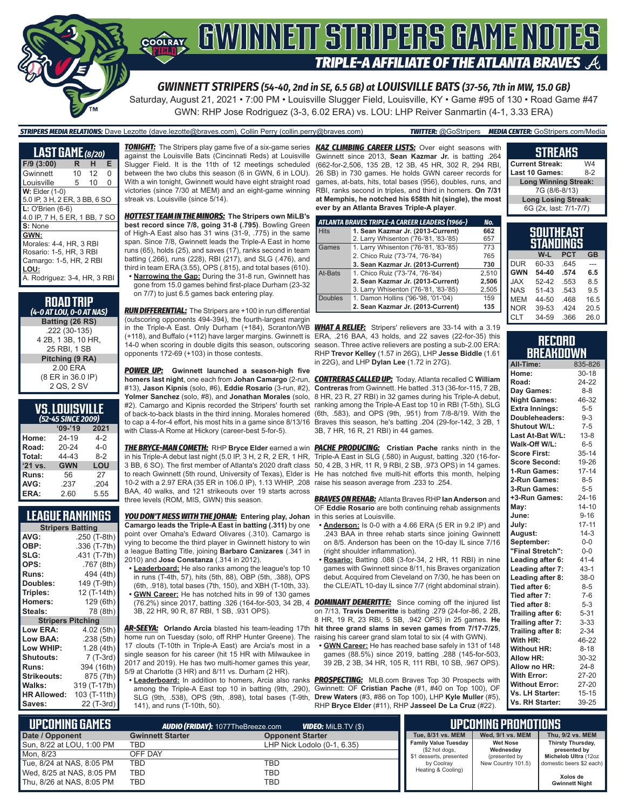

*GWINNETT STRIPERS (54-40, 2nd in SE, 6.5 GB) at LOUISVILLE BATS (37-56, 7th in MW, 15.0 GB)*

Saturday, August 21, 2021 • 7:00 PM • Louisville Slugger Field, Louisville, KY • Game #95 of 130 • Road Game #47 GWN: RHP Jose Rodriguez (3-3, 6.02 ERA) vs. LOU: LHP Reiver Sanmartin (4-1, 3.33 ERA)

#### *STRIPERS MEDIA RELATIONS:* Dave Lezotte (dave.lezotte@braves.com), Collin Perry (collin.perry@braves.com) *TWITTER:* @GoStripers *MEDIA CENTER:* GoStripers.com/Media

| <b>LAST GAME</b> (8/20)       |    |    |    |
|-------------------------------|----|----|----|
| $F/9$ (3:00)                  | R  | н  | E. |
| Gwinnett                      | 10 | 12 | 0  |
| Louisville                    | 5  | 10 | 0  |
| <b>W: Elder (1-0)</b>         |    |    |    |
| 5.0 IP, 3 H, 2 ER, 3 BB, 6 SO |    |    |    |
| $L:$ O'Brien (6-6)            |    |    |    |
| 4.0 IP, 7 H, 5 ER, 1 BB, 7 SO |    |    |    |
| S: None                       |    |    |    |
| GWN:                          |    |    |    |
| Morales: 4-4, HR, 3 RBI       |    |    |    |
| Rosario: 1-5. HR. 3 RBI       |    |    |    |
| Camargo: 1-5, HR, 2 RBI       |    |    |    |
| LOU:                          |    |    |    |
| A. Rodriguez: 3-4, HR, 3 RBI  |    |    |    |
|                               |    |    |    |

| <b>ROAD TRIP</b><br>(4-0 AT LOU, 0-0 AT NAS) |
|----------------------------------------------|
| Batting (26 RS)                              |
| .222 (30-135)                                |
| 4 2B, 1 3B, 10 HR,                           |
| 25 RBI, 1 SB                                 |
| Pitching (9 RA)                              |
| 2.00 ERA                                     |
| (8 ER in 36.0 IP)                            |
| 2 QS, 2 SV                                   |

#### **VS. LOUISVILLE** *(52-45 SINCE 2009)*

| <b>ISLE TO SHIPLE LUDY</b> |            |         |  |
|----------------------------|------------|---------|--|
|                            | $09 - 19$  | 2021    |  |
| Home:                      | 24-19      | $4-2$   |  |
| Road:                      | 20-24      | $4 - 0$ |  |
| Total:                     | 44-43      | $8-2$   |  |
| $'21$ vs.                  | <b>GWN</b> | LOU     |  |
| Runs:                      | 56         | 27      |  |
| AVG:                       | .237       | .204    |  |
| ERA:                       | 2.60       | 5.55    |  |

#### **LEAGUE RANKINGS**

| <b>Stripers Batting</b>  |              |  |
|--------------------------|--------------|--|
| AVG:                     | .250 (T-8th) |  |
| OBP:                     | .336 (T-7th) |  |
| SLG:                     | .431 (T-7th) |  |
| OPS:                     | .767 (8th)   |  |
| <b>Runs:</b>             | 494 (4th)    |  |
| Doubles:                 | 149 (T-9th)  |  |
| Triples:                 | 12 (T-14th)  |  |
| <b>Homers:</b>           | 129 (6th)    |  |
| Steals:                  | 78 (8th)     |  |
| <b>Stripers Pitching</b> |              |  |
| <b>Low ERA:</b>          | 4.02 (5th)   |  |
| Low BAA:                 | .238 (5th)   |  |
| Low WHIP:                | 1.28 (4th)   |  |
| <b>Shutouts:</b>         | $7(T-3rd)$   |  |
| <b>Runs:</b>             | 394 (16th)   |  |
| <b>Strikeouts:</b>       | 875 (7th)    |  |
| Walks:                   | 319 (T-17th) |  |
| <b>HR Allowed:</b>       | 103 (T-11th) |  |
| Saves:                   | 22 (T-3rd)   |  |

*TONIGHT:* The Stripers play game five of a six-game series *KAZ CLIMBING CAREER LISTS:* Over eight seasons with against the Louisville Bats (Cincinnati Reds) at Louisville Slugger Field. It is the 11th of 12 meetings scheduled between the two clubs this season (6 in GWN, 6 in LOU). With a win tonight, Gwinnett would have eight straight road victories (since 7/30 at MEM) and an eight-game winning streak vs. Louisville (since 5/14).

*HOTTEST TEAM IN THE MINORS:* **The Stripers own MiLB's best record since 7/8, going 31-8 (.795)**. Bowling Green of High-A East also has 31 wins (31-9, .775) in the same span. Since 7/8, Gwinnett leads the Triple-A East in home runs (65), holds (25), and saves (17), ranks second in team batting (.266), runs (228), RBI (217), and SLG (.476), and third in team ERA (3.55), OPS (.815), and total bases (610).

**• Narrowing the Gap:** During the 31-8 run, Gwinnett has gone from 15.0 games behind first-place Durham (23-32 on 7/7) to just 6.5 games back entering play.

*RUN DIFFERENTIAL:* The Stripers are +100 in run differential (outscoring opponents 494-394), the fourth-largest margin in the Triple-A East. Only Durham (+184), Scranton/WB *WHAT A RELIEF:* Stripers' relievers are 33-14 with a 3.19 (+118), and Buffalo (+112) have larger margins. Gwinnett is ERA, .216 BAA, 43 holds, and 22 saves (22-for-35) this 14-0 when scoring in double digits this season, outscoring opponents 172-69 (+103) in those contests.

*POWER UP:* **Gwinnett launched a season-high five**  #13), **Jason Kipnis** (solo, #6), **Eddie Rosario** (3-run, #2), **Yolmer Sanchez** (solo, #8), and **Jonathan Morales** (solo, #2). Camargo and Kipnis recorded the Stripers' fourth set to cap a 4-for-4 effort, his most hits in a game since 8/13/16 with Class-A Rome at Hickory (career-best 5-for-5).

*THE BRYCE-MAN COMETH:* RHP **Bryce Elder** earned a win in his Triple-A debut last night (5.0 IP, 3 H, 2 R, 2 ER, 1 HR, 10-2 with a 2.97 ERA (35 ER in 106.0 IP), 1.13 WHIP, .208 raise his season average from .233 to .254. BAA, 40 walks, and 121 strikeouts over 19 starts across three levels (ROM, MIS, GWN) this season.

*YOU DON'T MESS WITH THE JOHAN:* **Entering play, Johan Camargo leads the Triple-A East in batting (.311)** by one point over Omaha's Edward Olivares (.310). Camargo is vying to become the third player in Gwinnett history to win a league Batting Title, joining **Barbaro Canizares** (.341 in 2010) and **Jose Constanza** (.314 in 2012).

- **• Leaderboard:** He also ranks among the league's top 10 in runs (T-4th, 57), hits (5th, 88), OBP (5th, .388), OPS (6th, .918), total bases (7th, 150), and XBH (T-10th, 33). **• GWN Career:** He has notched hits in 99 of 130 games
- 3B, 22 HR, 90 R, 87 RBI, 1 SB, .931 OPS).

*AR-SEEYA:* **Orlando Arcia** blasted his team-leading 17th **hit three grand slams in seven games from 7/17-7/25**, home run on Tuesday (solo, off RHP Hunter Greene). The 17 clouts (T-10th in Triple-A East) are Arcia's most in a single season for his career (hit 15 HR with Milwaukee in 2017 and 2019). He has two multi-homer games this year, 5/9 at Charlotte (3 HR) and 8/11 vs. Durham (2 HR).

SLG (9th, .538), OPS (9th, .898), total bases (T-9th, 141), and runs (T-10th, 50).

Gwinnett since 2013, **Sean Kazmar Jr.** is batting .264 (662-for-2,506, 135 2B, 12 3B, 45 HR, 302 R, 294 RBI, 26 SB) in 730 games. He holds GWN career records for games, at-bats, hits, total bases (956), doubles, runs, and RBI, ranks second in triples, and third in homers. **On 7/31 at Memphis, he notched his 658th hit (single), the most ever by an Atlanta Braves Triple-A player**.

|                | ATLANTA BRAVES TRIPLE-A CAREER LEADERS (1966-) | No.   |
|----------------|------------------------------------------------|-------|
| <b>Hits</b>    | 1. Sean Kazmar Jr. (2013-Current)              | 662   |
|                | 2. Larry Whisenton ('76-'81, '83-'85)          | 657   |
| Games          | 1. Larry Whisenton ('76-'81, '83-'85)          | 773   |
|                | 2. Chico Ruiz ('73-'74, '76-'84)               | 765   |
|                | 3. Sean Kazmar Jr. (2013-Current)              | 730   |
| At-Bats        | 1. Chico Ruiz ('73-'74, '76-'84)               | 2.510 |
|                | 2. Sean Kazmar Jr. (2013-Current)              | 2,506 |
|                | 3. Larry Whisenton ('76-'81, '83-'85)          | 2,505 |
| <b>Doubles</b> | 1. Damon Hollins ('96-'98, '01-'04)            | 159   |
|                | 2. Sean Kazmar Jr. (2013-Current)              | 135   |

season. Three active relievers are posting a sub-2.00 ERA: RHP **Trevor Kelley** (1.57 in 26G), LHP **Jesse Biddle** (1.61 in 22G), and LHP **Dylan Lee** (1.72 in 27G).

**homers last night**, one each from **Johan Camargo** (2-run, *CONTRERAS CALLED UP:* Today, Atlanta recalled C **William**  of back-to-back blasts in the third inning. Morales homered (6th, .583), and OPS (9th, .951) from 7/8-8/19. With the **Contreras** from Gwinnett. He batted .313 (36-for-115, 7 2B, 8 HR, 23 R, 27 RBI) in 32 games during his Triple-A debut, ranking among the Triple-A East top 10 in RBI (T-5th), SLG Braves this season, he's batting .204 (29-for-142, 3 2B, 1 3B, 7 HR, 16 R, 21 RBI) in 44 games.

3 BB, 6 SO). The first member of Atlanta's 2020 draft class 50, 4 2B, 3 HR, 11 R, 9 RBI, 2 SB, .973 OPS) in 14 games. to reach Gwinnett (5th round, University of Texas), Elder is He has notched five multi-hit efforts this month, helping **PACHE PRODUCING:** Cristian Pache ranks ninth in the Triple-A East in SLG (.580) in August, batting .320 (16-for-

> *BRAVES ON REHAB:* Atlanta Braves RHP **Ian Anderson** and OF **Eddie Rosario** are both continuing rehab assignments in this series at Louisville.

- **• Anderson:** Is 0-0 with a 4.66 ERA (5 ER in 9.2 IP) and .243 BAA in three rehab starts since joining Gwinnett on 8/5. Anderson has been on the 10-day IL since 7/16 (right shoulder inflammation).
- **• Rosario:** Batting .088 (3-for-34, 2 HR, 11 RBI) in nine games with Gwinnett since 8/11, his Braves organization debut. Acquired from Cleveland on 7/30, he has been on the CLE/ATL 10-day IL since 7/7 (right abdominal strain).

(76.2%) since 2017, batting .326 (164-for-503, 34 2B, 4 *DOMINANT DEMERITTE:* Since coming off the injured list on 7/13, **Travis Demeritte** is batting .279 (24-for-86, 2 2B, 8 HR, 19 R, 23 RBI, 5 SB, .942 OPS) in 25 games. **He**  raising his career grand slam total to six (4 with GWN).

**• GWN Career:** He has reached base safely in 131 of 148 games (88.5%) since 2019, batting .288 (145-for-503, 39 2B, 2 3B, 34 HR, 105 R, 111 RBI, 10 SB, .967 OPS).

**• Leaderboard:** In addition to homers, Arcia also ranks *PROSPECTING:* MLB.com Braves Top 30 Prospects with among the Triple-A East top 10 in batting (9th, .290), Gwinnett: OF **Cristian Pache** (#1, #40 on Top 100), OF **Drew Waters** (#3, #86 on Top 100), LHP **Kyle Muller** (#5), RHP **Bryce Elder** (#11), RHP **Jasseel De La Cruz** (#22).

| опірліц                     |       |
|-----------------------------|-------|
| <b>Current Streak:</b>      | W4    |
| Last 10 Games:              | $8-2$ |
| <b>Long Winning Streak:</b> |       |
| 7G (8/6-8/13)               |       |
| <b>Long Losing Streak:</b>  |       |
| 6G (2x, last: 7/1-7/7)      |       |

**STREAKS**

|            | <b>SOUTHEAST</b><br>STANDINGS |            |           |
|------------|-------------------------------|------------|-----------|
|            | W-L                           | <b>PCT</b> | <b>GB</b> |
| <b>DUR</b> | 60-33                         | .645       |           |
| <b>GWN</b> | 54-40                         | .574       | 6.5       |
| <b>JAX</b> | 52-42                         | .553       | 8.5       |
| <b>NAS</b> | 51-43                         | .543       | 95        |
| <b>MEM</b> | 44-50                         | .468       | 16.5      |
| <b>NOR</b> | 39-53                         | 424        | 20.5      |
| <b>CLT</b> | 34-59                         | .366       | 26.0      |

| RECORD           |  |
|------------------|--|
| <b>BREAKDOWN</b> |  |

| All-Time:             | 835-826   |
|-----------------------|-----------|
| Home:                 | $30 - 18$ |
| Road:                 | 24-22     |
| Day Games:            | $8 - 8$   |
| <b>Night Games:</b>   | 46-32     |
| <b>Extra Innings:</b> | $5 - 5$   |
| Doubleheaders:        | $9 - 3$   |
| Shutout W/L:          | $7 - 5$   |
| Last At-Bat W/L:      | $13 - 8$  |
| Walk-Off W/L:         | $6-5$     |
| <b>Score First:</b>   | $35 - 14$ |
| <b>Score Second:</b>  | 19-26     |
| 1-Run Games:          | $17 - 14$ |
| 2-Run Games:          | $8 - 5$   |
| 3-Run Games:          | $5-5$     |
| +3-Run Games:         | $24 - 16$ |
| May:                  | $14 - 10$ |
| June:                 | $9 - 16$  |
| July:                 | $17 - 11$ |
| August:               | $14-3$    |
| September:            | $0-0$     |
| "Final Stretch":      | $0-0$     |
| Leading after 6:      | $41 - 4$  |
| Leading after 7:      | $43-1$    |
| Leading after 8:      | $38-0$    |
| Tied after 6:         | $8 - 5$   |
| Tied after 7:         | $7-6$     |
| Tied after 8:         | $5 - 3$   |
| Trailing after 6:     | $5 - 31$  |
| Trailing after 7:     | $3 - 33$  |
| Trailing after 8:     | $2 - 34$  |
| With HR:              | 46-22     |
| <b>Without HR:</b>    | $8 - 18$  |
| Allow HR:             | 30-32     |
| Allow no HR:          | $24-8$    |
| <b>With Error:</b>    | 27-20     |
| <b>Without Error:</b> | 27-20     |
| Vs. LH Starter:       | $15 - 15$ |
| Vs. RH Starter:       | 39-25     |

| I UPCOMING GAMES I<br><b>AUDIO (FRIDAY):</b> 1077TheBreeze.com<br>WDEO: Milb.TV (\$) |                         |                             | <b>UPCOMING PROMOTIONS</b>                    |                              |                                          |
|--------------------------------------------------------------------------------------|-------------------------|-----------------------------|-----------------------------------------------|------------------------------|------------------------------------------|
| Date / Opponent                                                                      | <b>Gwinnett Starter</b> | <b>Opponent Starter</b>     | Tue, 8/31 vs. MEM                             | Wed, 9/1 vs. MEM             | Thu, 9/2 vs. MEM                         |
| Sun, 8/22 at LOU, 1:00 PM                                                            | TBD                     | LHP Nick Lodolo (0-1, 6.35) | <b>Family Value Tuesday</b><br>(\$2 hot dogs, | <b>Wet Nose</b><br>Wednesday | <b>Thirsty Thursday,</b><br>presented by |
| Mon. 8/23                                                                            | OFF DAY                 |                             | \$1 desserts, presented                       | (presented by                | Michelob Ultra (12oz                     |
| Tue, 8/24 at NAS, 8:05 PM                                                            | TBD                     | TBD                         | by Coolrav                                    | New Country 101.5)           | domestic beers \$2 each)                 |
| Wed, 8/25 at NAS, 8:05 PM                                                            | TBD                     | TBD                         | Heating & Cooling)                            |                              | Xolos de                                 |
| Thu. 8/26 at NAS, 8:05 PM                                                            | TBD                     | TBD                         |                                               |                              | <b>Gwinnett Night</b>                    |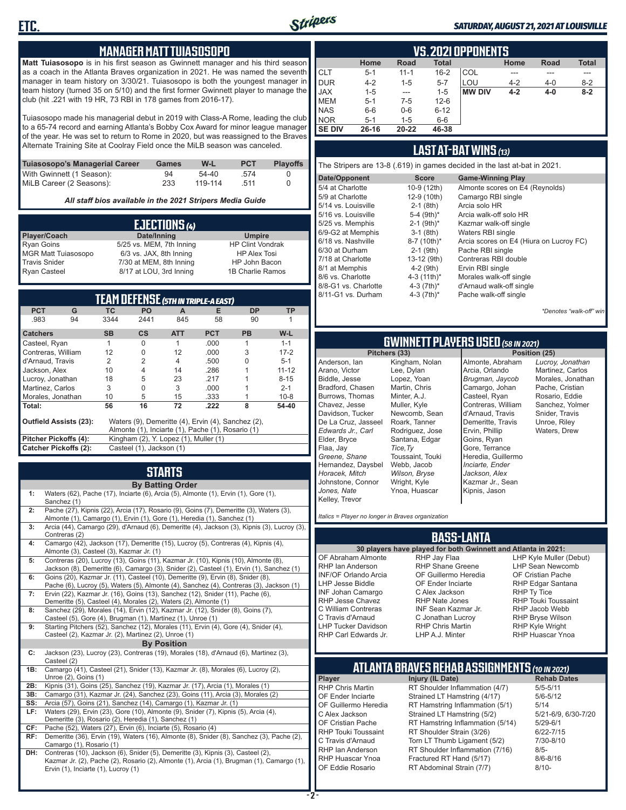

#### *SATURDAY, AUGUST 21, 2021 AT LOUISVILLE*

#### **MANAGER MATT TUIASOSOPO**

**Matt Tuiasosopo** is in his first season as Gwinnett manager and his third season as a coach in the Atlanta Braves organization in 2021. He was named the seventh manager in team history on 3/30/21. Tuiasosopo is both the youngest manager in team history (turned 35 on 5/10) and the first former Gwinnett player to manage the club (hit .221 with 19 HR, 73 RBI in 178 games from 2016-17).

Tuiasosopo made his managerial debut in 2019 with Class-A Rome, leading the club to a 65-74 record and earning Atlanta's Bobby Cox Award for minor league manager of the year. He was set to return to Rome in 2020, but was reassigned to the Braves Alternate Training Site at Coolray Field once the MiLB season was canceled.

| Tuiasosopo's Managerial Career | Games | W-L     | <b>PCT</b> | <b>Plavoffs</b> |
|--------------------------------|-------|---------|------------|-----------------|
| With Gwinnett (1 Season):      | 94    | $54-40$ | .574       |                 |
| MiLB Career (2 Seasons):       | 233   | 119-114 | 511        |                 |

*All staff bios available in the 2021 Stripers Media Guide*

|                            | EJECTIONS (4)            |                         |
|----------------------------|--------------------------|-------------------------|
| Player/Coach               | Date/Inning              | <b>Umpire</b>           |
| <b>Ryan Goins</b>          | 5/25 vs. MEM, 7th Inning | <b>HP Clint Vondrak</b> |
| <b>MGR Matt Tuiasosopo</b> | 6/3 vs. JAX, 8th Inning  | <b>HP Alex Tosi</b>     |
| <b>Travis Snider</b>       | 7/30 at MEM, 8th Inning  | HP John Bacon           |
| <b>Ryan Casteel</b>        | 8/17 at LOU, 3rd Inning  | 1B Charlie Ramos        |

| <b>TEAM DEFENSE (5TH IN TRIPLE-A EAST)</b> |                                                          |           |                                       |            |                                                    |           |           |  |  |  |  |
|--------------------------------------------|----------------------------------------------------------|-----------|---------------------------------------|------------|----------------------------------------------------|-----------|-----------|--|--|--|--|
| <b>PCT</b>                                 | G                                                        | ТC        | <b>PO</b>                             | A          | Е                                                  | <b>DP</b> | TP        |  |  |  |  |
| .983                                       | 94                                                       | 3344      | 2441                                  | 845        | 58                                                 | 90        |           |  |  |  |  |
| <b>Catchers</b>                            |                                                          | <b>SB</b> | <b>CS</b>                             | <b>ATT</b> | <b>PCT</b>                                         | <b>PB</b> | $W-L$     |  |  |  |  |
| Casteel, Ryan                              |                                                          | 1         | 0                                     | 1          | .000                                               | 1         | $1 - 1$   |  |  |  |  |
| Contreras, William                         |                                                          | 12        | 0                                     | 12         | .000                                               | 3         | $17 - 2$  |  |  |  |  |
| d'Arnaud, Travis                           |                                                          | 2         | $\overline{2}$                        | 4          | .500                                               |           | $5 - 1$   |  |  |  |  |
| Jackson, Alex                              |                                                          | 10        | 4                                     | 14<br>.286 |                                                    |           | $11 - 12$ |  |  |  |  |
| Lucroy, Jonathan                           |                                                          | 18        | 5                                     | 23         | .217                                               |           | $8 - 15$  |  |  |  |  |
| Martinez, Carlos                           |                                                          | 3         | $\Omega$                              | 3          | .000                                               |           | $2 - 1$   |  |  |  |  |
| Morales, Jonathan                          |                                                          | 10        | 5                                     | 15         | .333                                               |           | $10 - 8$  |  |  |  |  |
| Total:                                     |                                                          | 56        | 16                                    | 72         | .222                                               | 8         | 54-40     |  |  |  |  |
| Outfield Assists (23):                     |                                                          |           |                                       |            | Waters (9), Demeritte (4), Ervin (4), Sanchez (2), |           |           |  |  |  |  |
|                                            |                                                          |           |                                       |            | Almonte (1), Inciarte (1), Pache (1), Rosario (1)  |           |           |  |  |  |  |
| Pitcher Pickoffs (4):                      |                                                          |           | Kingham (2), Y. Lopez (1), Muller (1) |            |                                                    |           |           |  |  |  |  |
|                                            | <b>Catcher Pickoffs (2):</b><br>Casteel (1), Jackson (1) |           |                                       |            |                                                    |           |           |  |  |  |  |

# **STARTS**

|     | <b>By Batting Order</b>                                                                                                                                                                                              |
|-----|----------------------------------------------------------------------------------------------------------------------------------------------------------------------------------------------------------------------|
| 1:  | Waters (62), Pache (17), Inciarte (6), Arcia (5), Almonte (1), Ervin (1), Gore (1),<br>Sanchez (1)                                                                                                                   |
| 2:  | Pache (27), Kipnis (22), Arcia (17), Rosario (9), Goins (7), Demeritte (3), Waters (3),<br>Almonte (1), Camargo (1), Ervin (1), Gore (1), Heredia (1), Sanchez (1)                                                   |
| 3:  | Arcia (44), Camargo (29), d'Arnaud (6), Demeritte (4), Jackson (3), Kipnis (3), Lucroy (3),<br>Contreras (2)                                                                                                         |
| 4:  | Camargo (42), Jackson (17), Demeritte (15), Lucroy (5), Contreras (4), Kipnis (4),<br>Almonte (3), Casteel (3), Kazmar Jr. (1)                                                                                       |
| 5:  | Contreras (20), Lucroy (13), Goins (11), Kazmar Jr. (10), Kipnis (10), Almonte (8),<br>Jackson (8), Demeritte (6), Camargo (3), Snider (2), Casteel (1), Ervin (1), Sanchez (1)                                      |
| 6:  | Goins (20), Kazmar Jr. (11), Casteel (10), Demeritte (9), Ervin (8), Snider (8),<br>Pache (6), Lucroy (5), Waters (5), Almonte (4), Sanchez (4), Contreras (3), Jackson (1)                                          |
| 7:  | Ervin (22), Kazmar Jr. (16), Goins (13), Sanchez (12), Snider (11), Pache (6),<br>Demeritte (5), Casteel (4), Morales (2), Waters (2), Almonte (1)                                                                   |
| 8:  | Sanchez (29), Morales (14), Ervin (12), Kazmar Jr. (12), Snider (8), Goins (7),<br>Casteel (5), Gore (4), Brugman (1), Martinez (1), Unroe (1)                                                                       |
| 9:  | Starting Pitchers (52), Sanchez (12), Morales (11), Ervin (4), Gore (4), Snider (4),<br>Casteel (2), Kazmar Jr. (2), Martinez (2), Unroe (1)                                                                         |
|     | <b>By Position</b>                                                                                                                                                                                                   |
| C:  | Jackson (23), Lucroy (23), Contreras (19), Morales (18), d'Arnaud (6), Martinez (3),<br>Casteel (2)                                                                                                                  |
| 1B: | Camargo (41), Casteel (21), Snider (13), Kazmar Jr. (8), Morales (6), Lucroy (2),<br>Unroe (2), Goins (1)                                                                                                            |
| 2B: | Kipnis (31), Goins (25), Sanchez (19), Kazmar Jr. (17), Arcia (1), Morales (1)                                                                                                                                       |
| 3B: | Camargo (31), Kazmar Jr. (24), Sanchez (23), Goins (11), Arcia (3), Morales (2)                                                                                                                                      |
| SS: | Arcia (57), Goins (21), Sanchez (14), Camargo (1), Kazmar Jr. (1)                                                                                                                                                    |
| LF: | Waters (29), Ervin (23), Gore (10), Almonte (9), Snider (7), Kipnis (5), Arcia (4),<br>Demeritte (3), Rosario (2), Heredia (1), Sanchez (1)                                                                          |
| CF: | Pache (52), Waters (27), Ervin (6), Inciarte (5), Rosario (4)                                                                                                                                                        |
| RF: | Demeritte (36), Ervin (19), Waters (16), Almonte (8), Snider (8), Sanchez (3), Pache (2),<br>Camargo (1), Rosario (1)                                                                                                |
| DH: | Contreras (10), Jackson (6), Snider (5), Demeritte (3), Kipnis (3), Casteel (2),<br>Kazmar Jr. (2), Pache (2), Rosario (2), Almonte (1), Arcia (1), Brugman (1), Camargo (1),<br>Ervin (1), Inciarte (1), Lucroy (1) |

|               | <b>VS. 2021 OPPONENTS</b> |           |              |               |         |         |              |  |  |  |  |  |  |  |
|---------------|---------------------------|-----------|--------------|---------------|---------|---------|--------------|--|--|--|--|--|--|--|
|               | Home                      | Road      | <b>Total</b> |               | Home    | Road    | <b>Total</b> |  |  |  |  |  |  |  |
| <b>CLT</b>    | $5 - 1$                   | $11 - 1$  | $16 - 2$     | COL           | ---     |         | ---          |  |  |  |  |  |  |  |
| <b>DUR</b>    | $4 - 2$                   | $1 - 5$   | $5 - 7$      | LOU           | $4 - 2$ | $4 - 0$ | $8 - 2$      |  |  |  |  |  |  |  |
| <b>JAX</b>    | $1 - 5$                   | $- - -$   | $1 - 5$      | <b>MW DIV</b> | $4 - 2$ | $4 - 0$ | $8 - 2$      |  |  |  |  |  |  |  |
| <b>MEM</b>    | $5 - 1$                   | $7-5$     | $12-6$       |               |         |         |              |  |  |  |  |  |  |  |
| <b>NAS</b>    | $6-6$                     | $0-6$     | $6 - 12$     |               |         |         |              |  |  |  |  |  |  |  |
| <b>NOR</b>    | $5 - 1$                   | $1 - 5$   | $6-6$        |               |         |         |              |  |  |  |  |  |  |  |
| <b>SE DIV</b> | 26-16                     | $20 - 22$ | 46-38        |               |         |         |              |  |  |  |  |  |  |  |

#### **LAST AT-BAT WINS** *(13)*

The Stripers are 13-8 (.619) in games decided in the last at-bat in 2021.

| Date/Opponent        | <b>Score</b>             | <b>Game-Winning Play</b>                |
|----------------------|--------------------------|-----------------------------------------|
| 5/4 at Charlotte     | 10-9 (12th)              | Almonte scores on E4 (Reynolds)         |
| 5/9 at Charlotte     | 12-9 (10th)              | Camargo RBI single                      |
| 5/14 vs. Louisville  | $2-1$ (8th)              | Arcia solo HR                           |
| 5/16 vs. Louisville  | 5-4 (9th)*               | Arcia walk-off solo HR                  |
| 5/25 vs. Memphis     | $2-1$ (9th) <sup>*</sup> | Kazmar walk-off single                  |
| 6/9-G2 at Memphis    | $3-1$ (8th)              | Waters RBI single                       |
| 6/18 vs. Nashville   | 8-7 (10th)*              | Arcia scores on E4 (Hiura on Lucroy FC) |
| 6/30 at Durham       | $2-1$ (9th)              | Pache RBI single                        |
| 7/18 at Charlotte    | 13-12 (9th)              | Contreras RBI double                    |
| 8/1 at Memphis       | $4-2$ (9th)              | Ervin RBI single                        |
| 8/6 vs. Charlotte    | 4-3 $(11th)^*$           | Morales walk-off single                 |
| 8/8-G1 vs. Charlotte | 4-3 $(7th)^*$            | d'Arnaud walk-off single                |
| 8/11-G1 vs. Durham   | 4-3 $(7th)*$             | Pache walk-off single                   |
|                      |                          |                                         |

*\*Denotes "walk-off" win*

# **GWINNETT PLAYERS USED** *(58 IN 2021)*

**Pitchers (33)** Anderson, Ian Arano, Victor Biddle, Jesse Bradford, Chasen Burrows, Thomas Chavez, Jesse Davidson, Tucker De La Cruz, Jasseel *Edwards Jr., Carl* Elder, Bryce Flaa, Jay *Greene, Shane*  Hernandez, Daysbel *Horacek, Mitch* Johnstone, Connor *Jones, Nate* Kelley, Trevor Lee, Dylan Lopez, Yoan Martin, Chris Minter, A.J. Muller, Kyle Roark, Tanner Rodriguez, Jose Santana, Edgar *Tice,Ty* Webb, Jacob *Wilson, Bryse* Wright, Kyle Ynoa, Huascar

Kingham, Nolan Newcomb, Sean Toussaint, Touki Almonte, Abraham Arcia, Orlando *Brugman, Jaycob* Camargo, Johan Casteel, Ryan Contreras, William d'Arnaud, Travis Demeritte, Travis Ervin, Phillip Goins, Ryan Gore, Terrance Heredia, Guillermo *Inciarte, Ender Jackson, Alex* Kazmar Jr., Sean Kipnis, Jason

*Lucroy, Jonathan* Martinez, Carlos Morales, Jonathan Pache, Cristian Rosario, Eddie Sanchez, Yolmer Snider, Travis Unroe, Riley Waters, Drew

*Italics = Player no longer in Braves organization*

#### **BASS-LANTA**

OF Abraham Almonte RHP Ian Anderson INF/OF Orlando Arcia LHP Jesse Biddle INF Johan Camargo RHP Jesse Chavez C William Contreras C Travis d'Arnaud LHP Tucker Davidson RHP Carl Edwards Jr.

RHP Jay Flaa RHP Shane Greene OF Guillermo Heredia OF Ender Inciarte C Alex Jackson RHP Nate Jones INF Sean Kazmar Jr. C Jonathan Lucroy RHP Chris Martin LHP A.J. Minter

**30 players have played for both Gwinnett and Atlanta in 2021:** LHP Kyle Muller (Debut) LHP Sean Newcomb OF Cristian Pache RHP Edgar Santana RHP Ty Tice RHP Touki Toussaint RHP Jacob Webb RHP Bryse Wilson RHP Kyle Wright RHP Huascar Ynoa

### **ATLANTA BRAVES REHAB ASSIGNMENTS** *(10 IN 2021)*

**Player Injury (IL Date)** RHP Chris Martin RT Shoulder Inflammation (4/7) 5/5-5/11<br>OF Ender Inciarte Strained LT Hamstring (4/17) 5/6-5/12 OF Ender Inciarte Strained LT Hamstring (4/17)<br>OF Guillermo Heredia RT Hamstring Inflammation (5) RT Hamstring Inflammation (5/1) 5/14 C Alex Jackson Strained LT Hamstring (5/2) 5/21-6/9, 6/30-7/20 OF Cristian Pache RT Hamstring Inflammation (5/14) 5/29-6/1<br>RHP Touki Toussaint RT Shoulder Strain (3/26) 6/22-7/15 RHP Touki Toussaint RT Shoulder Strain (3/26) 6/22-7/15<br>C. Travis d'Arnaud C. Torn LT Thumb Ligament (5/2) 6/10-8/10 Torn LT Thumb Ligament (5/2) RHP Ian Anderson RT Shoulder Inflammation (7/16) 8/5-<br>RHP Huascar Ynoa Fractured RT Hand (5/17) 8/6-8/16 RHP Huascar Ynoa Fractured RT Hand (5/17)<br>OF Eddie Rosario RT Abdominal Strain (7/7) RT Abdominal Strain (7/7) 8/10-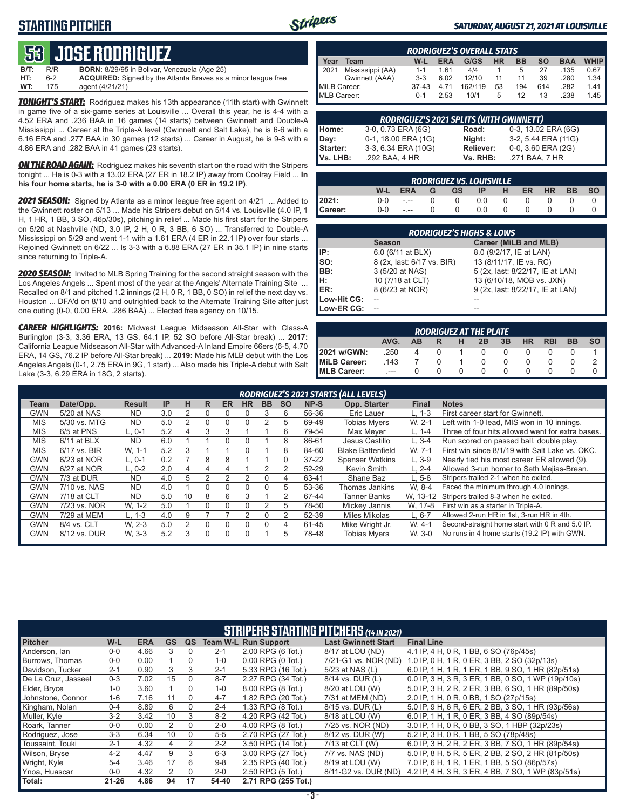### **STARTING PITCHER**



#### *SATURDAY, AUGUST 21, 2021 AT LOUISVILLE*

# **53****JOSE RODRIGUEZ**

| <b>B/T:</b> | R/R | <b>BORN:</b> 8/29/95 in Bolivar, Venezuela (Age 25)                  |
|-------------|-----|----------------------------------------------------------------------|
| HT:         | հ-2 | <b>ACQUIRED:</b> Signed by the Atlanta Braves as a minor league free |
| WT:         | 175 | agent (4/21/21)                                                      |

*TONIGHT'S START:* Rodriguez makes his 13th appearance (11th start) with Gwinnett in game five of a six-game series at Louisville ... Overall this year, he is 4-4 with a 4.52 ERA and .236 BAA in 16 games (14 starts) between Gwinnett and Double-A Mississippi ... Career at the Triple-A level (Gwinnett and Salt Lake), he is 6-6 with a 6.16 ERA and .277 BAA in 30 games (12 starts) ... Career in August, he is 9-8 with a 4.86 ERA and .282 BAA in 41 games (23 starts).

**ON THE ROAD AGAIN:** Rodriguez makes his seventh start on the road with the Stripers tonight ... He is 0-3 with a 13.02 ERA (27 ER in 18.2 IP) away from Coolray Field ... **In his four home starts, he is 3-0 with a 0.00 ERA (0 ER in 19.2 IP)**.

*2021 SEASON:* Signed by Atlanta as a minor league free agent on 4/21 ... Added to the Gwinnett roster on 5/13 ... Made his Stripers debut on 5/14 vs. Louisville (4.0 IP, 1 H, 1 HR, 1 BB, 3 SO, 46p/30s), pitching in relief ... Made his first start for the Stripers on 5/20 at Nashville (ND, 3.0 IP, 2 H, 0 R, 3 BB, 6 SO) ... Transferred to Double-A Mississippi on 5/29 and went 1-1 with a 1.61 ERA (4 ER in 22.1 IP) over four starts ... Rejoined Gwinnett on 6/22 ... Is 3-3 with a 6.88 ERA (27 ER in 35.1 IP) in nine starts since returning to Triple-A.

*2020 SEASON:* Invited to MLB Spring Training for the second straight season with the Los Angeles Angels ... Spent most of the year at the Angels' Alternate Training Site ... Recalled on 8/1 and pitched 1.2 innings (2 H, 0 R, 1 BB, 0 SO) in relief the next day vs. Houston ... DFA'd on 8/10 and outrighted back to the Alternate Training Site after just one outing (0-0, 0.00 ERA, .286 BAA) ... Elected free agency on 10/15.

*CAREER HIGHLIGHTS:* **2016:** Midwest League Midseason All-Star with Class-A Burlington (3-3, 3.36 ERA, 13 GS, 64.1 IP, 52 SO before All-Star break) ... **2017:** California League Midseason All-Star with Advanced-A Inland Empire 66ers (6-5, 4.70 ERA, 14 GS, 76.2 IP before All-Star break) ... **2019:** Made his MLB debut with the Los Angeles Angels (0-1, 2.75 ERA in 9G, 1 start) ... Also made his Triple-A debut with Salt Lake (3-3, 6.29 ERA in 18G, 2 starts).

|              | <b>RODRIGUEZ'S OVERALL STATS.</b> |         |            |         |           |           |     |            |             |  |  |  |  |
|--------------|-----------------------------------|---------|------------|---------|-----------|-----------|-----|------------|-------------|--|--|--|--|
| Year         | Team                              | W-L     | <b>ERA</b> | G/GS    | <b>HR</b> | <b>BB</b> | so  | <b>BAA</b> | <b>WHIP</b> |  |  |  |  |
| 2021         | Mississippi (AA)                  | $1 - 1$ | 161        | 4/4     |           | 5         | 27  | .135       | 0.67        |  |  |  |  |
|              | Gwinnett (AAA)                    | $3-3$   | 6.02       | 12/10   | 11        | 11        | 39  | .280       | 1.34        |  |  |  |  |
| MiLB Career: |                                   | $37-43$ |            | 162/119 | 53        | 194       | 614 | .282       | 1.41        |  |  |  |  |
| MLB Career:  |                                   | $0 - 1$ | 2.53       | 10/1    | 5         | 12        | 13  | .238       | 1.45        |  |  |  |  |

| <b>RODRIGUEZ'S 2021 SPLITS (WITH GWINNETT)</b> |                     |           |                     |  |  |  |  |  |  |  |
|------------------------------------------------|---------------------|-----------|---------------------|--|--|--|--|--|--|--|
| Home:                                          | 3-0, 0.73 ERA (6G)  | Road:     | 0-3, 13.02 ERA (6G) |  |  |  |  |  |  |  |
| Day:                                           | 0-1, 18.00 ERA (1G) | Night:    | 3-2, 5.44 ERA (11G) |  |  |  |  |  |  |  |
| <b>Starter:</b>                                | 3-3, 6.34 ERA (10G) | Reliever: | 0-0, 3.60 ERA (2G)  |  |  |  |  |  |  |  |
| lVs. LHB:                                      | .292 BAA, 4 HR      | Vs. RHB:  | .271 BAA, 7 HR      |  |  |  |  |  |  |  |

| <b>RODRIGUEZ VS. LOUISVILLE</b> |         |               |   |     |     |   |           |           |           |           |  |
|---------------------------------|---------|---------------|---|-----|-----|---|-----------|-----------|-----------|-----------|--|
|                                 | W-L     | <b>ERA</b>    | G | GS. | IP. | н | <b>ER</b> | <b>HR</b> | <b>BB</b> | <b>SO</b> |  |
| 2021:                           | $0 - 0$ | $\frac{1}{2}$ |   |     | 0.0 |   |           |           |           |           |  |
| Career:                         | $0 - 0$ | $\frac{1}{2}$ |   |     | 0.0 |   |           |           |           |           |  |

| <b>RODRIGUEZ'S HIGHS &amp; LOWS</b> |                            |                                  |  |  |  |  |  |  |  |  |
|-------------------------------------|----------------------------|----------------------------------|--|--|--|--|--|--|--|--|
|                                     | <b>Season</b>              | Career (MiLB and MLB)            |  |  |  |  |  |  |  |  |
| IIP:                                | 6.0 (6/11 at BLX)          | 8.0 (9/2/17, IE at LAN)          |  |  |  |  |  |  |  |  |
| so:                                 | 8 (2x, last: 6/17 vs. BIR) | 13 (8/11/17, IE vs. RC)          |  |  |  |  |  |  |  |  |
| BB:                                 | 3 (5/20 at NAS)            | 5 (2x, last: 8/22/17, IE at LAN) |  |  |  |  |  |  |  |  |
| Iн:                                 | 10 (7/18 at CLT)           | 13 (6/10/18, MOB vs. JXN)        |  |  |  |  |  |  |  |  |
| <b>IER:</b>                         | 8 (6/23 at NOR)            | 9 (2x, last: 8/22/17, IE at LAN) |  |  |  |  |  |  |  |  |
| Low-Hit CG:                         |                            |                                  |  |  |  |  |  |  |  |  |
| Low-ER CG:                          |                            |                                  |  |  |  |  |  |  |  |  |

| <b>RODRIGUEZ AT THE PLATE</b> |                                                                                   |   |  |  |  |  |  |  |  |  |  |  |
|-------------------------------|-----------------------------------------------------------------------------------|---|--|--|--|--|--|--|--|--|--|--|
|                               | <b>BB</b><br><b>HR</b><br>AVG.<br>3B<br><b>RBI</b><br>2B<br><b>SO</b><br>н<br>ΔR. |   |  |  |  |  |  |  |  |  |  |  |
| 2021 w/GWN:                   | .250                                                                              | 4 |  |  |  |  |  |  |  |  |  |  |
| MiLB Career:                  | 143                                                                               |   |  |  |  |  |  |  |  |  |  |  |
| <b>MLB Career:</b>            |                                                                                   |   |  |  |  |  |  |  |  |  |  |  |

|            |               |               |           |    |   |          |           |           |           |           | RODRIGUEZ'S 2021 STARTS (ALL LEVELS) |              |                                                  |
|------------|---------------|---------------|-----------|----|---|----------|-----------|-----------|-----------|-----------|--------------------------------------|--------------|--------------------------------------------------|
| Team       | Date/Opp.     | <b>Result</b> | <b>IP</b> | н  | R | ER       | <b>HR</b> | <b>BB</b> | <b>SO</b> | NP-S      | Opp. Starter                         | <b>Final</b> | <b>Notes</b>                                     |
| <b>GWN</b> | 5/20 at NAS   | <b>ND</b>     | 3.0       |    | Ω |          |           | 3         | 6         | 56-36     | Eric Lauer                           | $L. 1-3$     | First career start for Gwinnett.                 |
| <b>MIS</b> | 5/30 vs. MTG  | <b>ND</b>     | 5.0       |    | Ω | O        |           |           | 5         | 69-49     | Tobias Mvers                         | W. 2-1       | Left with 1-0 lead, MIS won in 10 innings.       |
| <b>MIS</b> | 6/5 at PNS    | $L.0-1$       | 5.2       | 4  | 3 | 3        |           |           | 6         | 79-54     | Max Mever                            | L. 1-4       | Three of four hits allowed went for extra bases. |
| <b>MIS</b> | $6/11$ at BLX | <b>ND</b>     | 6.0       |    |   | 0        |           |           | 8         | 86-61     | Jesus Castillo                       | $L.3 - 4$    | Run scored on passed ball, double play.          |
| <b>MIS</b> | 6/17 vs. BIR  | W. 1-1        | 5.2       | 3  |   |          |           |           | 8         | 84-60     | <b>Blake Battenfield</b>             | W. 7-1       | First win since 8/1/19 with Salt Lake vs. OKC.   |
| <b>GWN</b> | 6/23 at NOR   | L, 0-1        | 0.2       |    | 8 | 8        |           |           | 0         | $37 - 22$ | <b>Spenser Watkins</b>               | $L.3-9$      | Nearly tied his most career ER allowed (9).      |
| <b>GWN</b> | 6/27 at NOR   | $L. 0-2$      | 2.0       | 4  | 4 | 4        |           |           |           | 52-29     | Kevin Smith                          | $L. 2 - 4$   | Allowed 3-run homer to Seth Meijas-Brean.        |
| <b>GWN</b> | 7/3 at DUR    | <b>ND</b>     | 4.0       | 5  | 2 | っ        |           | 0         | 4         | 63-41     | Shane Baz                            | L. 5-6       | Stripers trailed 2-1 when he exited.             |
| <b>GWN</b> | 7/10 vs. NAS  | <b>ND</b>     | 4.0       |    | 0 | $\Omega$ |           | $\Omega$  | 5         | 53-36     | Thomas Jankins                       | W. 8-4       | Faced the minimum through 4.0 innings.           |
| <b>GWN</b> | 7/18 at CLT   | <b>ND</b>     | 5.0       | 10 | 8 | 6        | 3         |           | 2         | 67-44     | Tanner Banks                         | W. 13-12     | Stripers trailed 8-3 when he exited.             |
| <b>GWN</b> | 7/23 vs. NOR  | W. 1-2        | 5.0       |    | O | 0        |           | 2         | 5         | 78-50     | Mickey Jannis                        | W. 17-8      | First win as a starter in Triple-A.              |
| <b>GWN</b> | 7/29 at MEM   | $L. 1-3$      | 4.0       | 9  |   |          |           | 0         |           | 52-39     | Miles Mikolas                        | $L.6 - 7$    | Allowed 2-run HR in 1st, 3-run HR in 4th.        |
| <b>GWN</b> | 8/4 vs. CLT   | W. 2-3        | 5.0       | 2  | 0 | $\Omega$ |           | $\Omega$  | 4         | 61-45     | Mike Wright Jr.                      | W. 4-1       | Second-straight home start with 0 R and 5.0 IP.  |
| <b>GWN</b> | 8/12 vs. DUR  | W. 3-3        | 5.2       | 3  | 0 | 0        |           |           | 5         | 78-48     | <b>Tobias Mvers</b>                  | W. 3-0       | No runs in 4 home starts (19.2 IP) with GWN.     |
|            |               |               |           |    |   |          |           |           |           |           |                                      |              |                                                  |

|                     | <b>STRIPERS STARTING PITCHERS (14 IN 2021)</b> |            |               |          |         |                             |                            |                                                    |  |  |  |  |  |
|---------------------|------------------------------------------------|------------|---------------|----------|---------|-----------------------------|----------------------------|----------------------------------------------------|--|--|--|--|--|
| <b>Pitcher</b>      | W-L                                            | <b>ERA</b> | <b>GS</b>     | QS       |         | <b>Team W-L Run Support</b> | <b>Last Gwinnett Start</b> | <b>Final Line</b>                                  |  |  |  |  |  |
| Anderson, Ian       | $0-0$                                          | 4.66       | 3             |          | $2 - 1$ | 2.00 RPG (6 Tot.)           | 8/17 at LOU (ND)           | 4.1 IP, 4 H, 0 R, 1 BB, 6 SO (76p/45s)             |  |  |  |  |  |
| Burrows. Thomas     | $0 - 0$                                        | 0.00       |               | $\Omega$ | $1 - 0$ | $0.00$ RPG $(0$ Tot.)       | 7/21-G1 vs. NOR (ND)       | 1.0 IP, 0 H, 1 R, 0 ER, 3 BB, 2 SO (32p/13s)       |  |  |  |  |  |
| Davidson. Tucker    | $2 - 1$                                        | 0.90       | 3             | 3        | $2 - 1$ | 5.33 RPG (16 Tot.)          | 5/23 at NAS (L)            | 6.0 IP, 1 H, 1 R, 1 ER, 1 BB, 9 SO, 1 HR (82p/51s) |  |  |  |  |  |
| De La Cruz, Jasseel | $0 - 3$                                        | 7.02       | 15            | $\Omega$ | $8 - 7$ | 2.27 RPG (34 Tot.)          | 8/14 vs. DUR (L)           | 0.0 IP, 3 H, 3 R, 3 ER, 1 BB, 0 SO, 1 WP (19p/10s) |  |  |  |  |  |
| Elder, Bryce        | $1 - 0$                                        | 3.60       |               | $\Omega$ | $1 - 0$ | 8.00 RPG (8 Tot.)           | 8/20 at LOU (W)            | 5.0 IP, 3 H, 2 R, 2 ER, 3 BB, 6 SO, 1 HR (89p/50s) |  |  |  |  |  |
| Johnstone, Connor   | $1 - 6$                                        | 7.16       | 11            | $\Omega$ | $4 - 7$ | 1.82 RPG (20 Tot.)          | 7/31 at MEM (ND)           | 2.0 IP, 1 H, 0 R, 0 BB, 1 SO (27p/15s)             |  |  |  |  |  |
| Kingham, Nolan      | $0 - 4$                                        | 8.89       | 6             | $\Omega$ | $2 - 4$ | 1.33 RPG (8 Tot.)           | 8/15 vs. DUR (L)           | 5.0 IP, 9 H, 6 R, 6 ER, 2 BB, 3 SO, 1 HR (93p/56s) |  |  |  |  |  |
| Muller, Kyle        | $3-2$                                          | 3.42       | 10            | 3        | $8 - 2$ | 4.20 RPG (42 Tot.)          | 8/18 at LOU (W)            | 6.0 IP, 1 H, 1 R, 0 ER, 3 BB, 4 SO (89p/54s)       |  |  |  |  |  |
| Roark, Tanner       | $0-0$                                          | 0.00       | 2             | $\Omega$ | $2 - 0$ | 4.00 RPG (8 Tot.)           | 7/25 vs. NOR (ND)          | 3.0 IP, 1 H, 0 R, 0 BB, 3 SO, 1 HBP (32p/23s)      |  |  |  |  |  |
| Rodriguez, Jose     | $3-3$                                          | 6.34       | 10            | $\Omega$ | $5-5$   | 2.70 RPG (27 Tot.)          | 8/12 vs. DUR (W)           | 5.2 IP, 3 H, 0 R, 1 BB, 5 SO (78p/48s)             |  |  |  |  |  |
| Toussaint. Touki    | $2 - 1$                                        | 4.32       | 4             | 2        | $2 - 2$ | 3.50 RPG (14 Tot.)          | 7/13 at CLT (W)            | 6.0 IP, 3 H, 2 R, 2 ER, 3 BB, 7 SO, 1 HR (89p/54s) |  |  |  |  |  |
| Wilson, Bryse       | $4 - 2$                                        | 4.47       | 9             | 3        | $6 - 3$ | 3.00 RPG (27 Tot.)          | 7/7 vs. NAS (ND)           | 5.0 IP, 8 H, 5 R, 5 ER, 2 BB, 2 SO, 2 HR (81p/50s) |  |  |  |  |  |
| Wright, Kyle        | $5 - 4$                                        | 3.46       | 17            | 6        | $9 - 8$ | 2.35 RPG (40 Tot.)          | 8/19 at LOU (W)            | 7.0 IP, 6 H, 1 R, 1 ER, 1 BB, 5 SO (86p/57s)       |  |  |  |  |  |
| Ynoa, Huascar       | $0-0$                                          | 4.32       | $\mathcal{P}$ | $\Omega$ | $2 - 0$ | 2.50 RPG (5 Tot.)           | 8/11-G2 vs. DUR (ND)       | 4.2 IP, 4 H, 3 R, 3 ER, 4 BB, 7 SO, 1 WP (83p/51s) |  |  |  |  |  |
| Total:              | $21 - 26$                                      | 4.86       | 94            | 17       | 54-40   | 2.71 RPG (255 Tot.)         |                            |                                                    |  |  |  |  |  |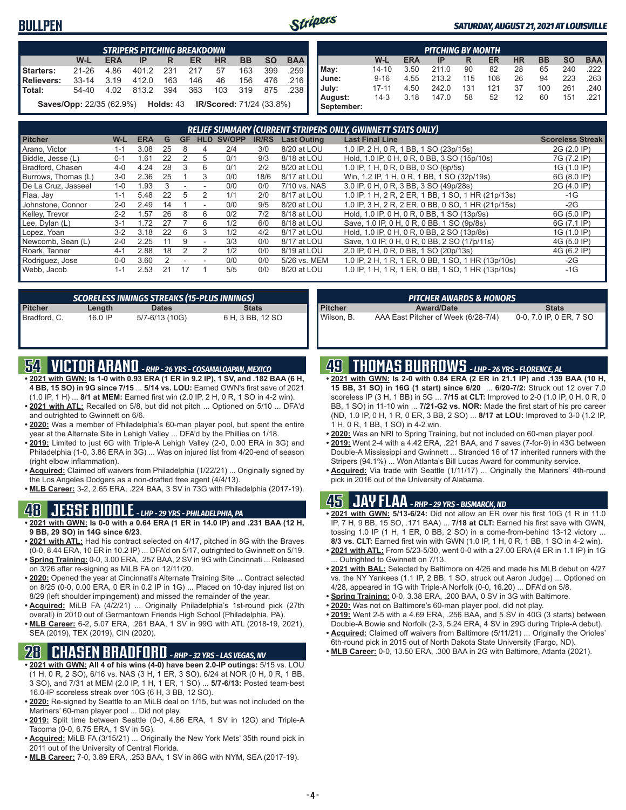#### **BULLPEN**



#### *SATURDAY, AUGUST 21, 2021 AT LOUISVILLE*

|                                                                                  | <b>STRIPERS PITCHING BREAKDOWN</b> |            |                |     |           |           |           |           |            |
|----------------------------------------------------------------------------------|------------------------------------|------------|----------------|-----|-----------|-----------|-----------|-----------|------------|
|                                                                                  | $W-L$                              | <b>ERA</b> | IP             | R   | <b>ER</b> | <b>HR</b> | <b>BB</b> | <b>SO</b> | <b>BAA</b> |
| Starters:                                                                        | $21 - 26$                          | 4.86       | 401.2 231      |     | 217       | 57        | 163       | 399       | .259       |
| Relievers:                                                                       | 33-14 3.19                         |            | 412.0          | 163 | 146       | 46        | 156       | 476       | .216       |
| l Total:                                                                         | 54-40                              |            | 4.02 813.2 394 |     | 363       |           | 103 319   | 875 .238  |            |
| <b>Saves/Opp:</b> 22/35 (62.9%) <b>Holds:</b> 43 <b>IR/Scored:</b> 71/24 (33.8%) |                                    |            |                |     |           |           |           |           |            |

| <b>PITCHING BY MONTH</b> |           |            |       |     |     |           |           |           |            |
|--------------------------|-----------|------------|-------|-----|-----|-----------|-----------|-----------|------------|
|                          | W-L       | <b>ERA</b> | IP    | R   | ER  | <b>HR</b> | <b>BB</b> | <b>SO</b> | <b>BAA</b> |
| May:                     | $14 - 10$ | 3.50       | 211.0 | 90  | 82  | 28        | 65        | 240       | .222 I     |
| June:                    | $9 - 16$  | 4.55       | 213.2 | 115 | 108 | 26        | 94        | 223       | .263       |
| July:                    | $17 - 11$ | 4.50       | 242.0 | 131 | 121 | 37        | 100       | 261       | .240 I     |
| August:                  | $14-3$    | 3.18       | 147.0 | 58  | 52  | 12        | 60        | 151       | .221 I     |
| September:               |           |            |       |     |     |           |           |           |            |

|                     | RELIEF SUMMARY (CURRENT STRIPERS ONLY, GWINNETT STATS ONLY) |            |    |           |            |        |              |                    |                                                    |                         |  |
|---------------------|-------------------------------------------------------------|------------|----|-----------|------------|--------|--------------|--------------------|----------------------------------------------------|-------------------------|--|
| <b>Pitcher</b>      | W-L                                                         | <b>ERA</b> | G  | <b>GF</b> | <b>HLD</b> | SV/OPP | <b>IR/RS</b> | <b>Last Outing</b> | <b>Last Final Line</b>                             | <b>Scoreless Streak</b> |  |
| Arano, Victor       | 1-1                                                         | 3.08       | 25 | 8         |            | 2/4    | 3/0          | 8/20 at LOU        | 1.0 IP. 2 H. 0 R. 1 BB. 1 SO (23p/15s)             | 2G (2.0 IP)             |  |
| Biddle, Jesse (L)   | $0 - 1$                                                     | .61        | 22 |           | 5          | 0/1    | 9/3          | 8/18 at LOU        | Hold, 1.0 IP, 0 H, 0 R, 0 BB, 3 SO (15p/10s)       | 7G (7.2 IP)             |  |
| Bradford, Chasen    | $4 - 0$                                                     | 4.24       | 28 | 3         | 6          | 0/1    | 2/2          | 8/20 at LOU        | 1.0 IP, 1 H, 0 R, 0 BB, 0 SO (6p/5s)               | 1G (1.0 IP)             |  |
| Burrows, Thomas (L) | $3-0$                                                       | 2.36       | 25 |           | 3          | 0/0    | 18/6         | 8/17 at LOU        | Win, 1.2 IP, 1 H, 0 R, 1 BB, 1 SO (32p/19s)        | 6G (8.0 IP)             |  |
| De La Cruz, Jasseel | $1 - 0$                                                     | l.93       |    |           |            | 0/0    | 0/0          | 7/10 vs. NAS       | 3.0 IP, 0 H, 0 R, 3 BB, 3 SO (49p/28s)             | 2G (4.0 IP)             |  |
| Flaa, Jay           | $1 - 1$                                                     | 5.48       |    | b         |            | 1/1    | 2/0          | 8/17 at LOU        | 1.0 IP, 1 H, 2 R, 2 ER, 1 BB, 1 SO, 1 HR (21p/13s) | $-1G$                   |  |
| Johnstone, Connor   | $2 - 0$                                                     | 2.49       | 14 |           |            | 0/0    | 9/5          | 8/20 at LOU        | 1.0 IP. 3 H. 2 R. 2 ER. 0 BB. 0 SO. 1 HR (21p/15s) | $-2G$                   |  |
| Kelley, Trevor      | $2 - 2$                                                     | 1.57       | 26 | 8         | 6          | 0/2    | 7/2          | 8/18 at LOU        | Hold, 1.0 IP, 0 H, 0 R, 0 BB, 1 SO (13p/9s)        | 6G (5.0 IP)             |  |
| Lee, Dylan (L)      | $3 - 1$                                                     | 72         |    |           | 6          | 1/2    | 6/0          | 8/18 at LOU        | Save, 1.0 IP, 0 H, 0 R, 0 BB, 1 SO (9p/8s)         | 6G (7.1 IP)             |  |
| Lopez, Yoan         | $3-2$                                                       | 3.18       | 22 | 6         | 3          | 1/2    | 4/2          | 8/17 at LOU        | Hold, 1.0 IP, 0 H, 0 R, 0 BB, 2 SO (13p/8s)        | 1G (1.0 IP)             |  |
| Newcomb, Sean (L)   | $2 - 0$                                                     | 2.25       | 11 | 9         |            | 3/3    | 0/0          | 8/17 at LOU        | Save, 1.0 IP, 0 H, 0 R, 0 BB, 2 SO (17p/11s)       | 4G (5.0 IP)             |  |
| Roark, Tanner       | $4 - 1$                                                     | 2.88       | 18 |           | 2          | 1/2    | 0/0          | 8/19 at LOU        | 2.0 IP, 0 H, 0 R, 0 BB, 1 SO (20p/13s)             | 4G (6.2 IP)             |  |
| Rodriguez, Jose     | $0 - 0$                                                     | 3.60       |    |           |            | 0/0    | 0/0          | 5/26 vs. MEM       | 1.0 IP, 2 H, 1 R, 1 ER, 0 BB, 1 SO, 1 HR (13p/10s) | $-2G$                   |  |
| Webb, Jacob         | $1 - 1$                                                     | 2.53       | 21 |           |            | 5/5    | 0/0          | 8/20 at LOU        | 1.0 IP, 1 H, 1 R, 1 ER, 0 BB, 1 SO, 1 HR (13p/10s) | $-1G$                   |  |

|                         |         | SCORELESS INNINGS STREAKS (15-PLUS INNINGS) |                  |
|-------------------------|---------|---------------------------------------------|------------------|
|                         | Length  | <b>Dates</b>                                | <b>Stats</b>     |
| Pitcher<br>Bradford, C. | 16.0 IP | 5/7-6/13 (10G)                              | 6 H, 3 BB, 12 SO |

### **54 VICTOR ARANO** *- RHP - 26 YRS - COSAMALOAPAN, MEXICO*

- **• 2021 with GWN: Is 1-0 with 0.93 ERA (1 ER in 9.2 IP), 1 SV, and .182 BAA (6 H, 4 BB, 15 SO) in 9G since 7/15** ... **5/14 vs. LOU:** Earned GWN's first save of 2021 (1.0 IP, 1 H) ... **8/1 at MEM:** Earned first win (2.0 IP, 2 H, 0 R, 1 SO in 4-2 win).
- **• 2021 with ATL:** Recalled on 5/8, but did not pitch ... Optioned on 5/10 ... DFA'd and outrighted to Gwinnett on 6/6.
- **• 2020:** Was a member of Philadelphia's 60-man player pool, but spent the entire year at the Alternate Site in Lehigh Valley ... DFA'd by the Phillies on 1/18.
- **• 2019:** Limited to just 6G with Triple-A Lehigh Valley (2-0, 0.00 ERA in 3G) and Philadelphia (1-0, 3.86 ERA in 3G) ... Was on injured list from 4/20-end of season (right elbow inflammation).
- **• Acquired:** Claimed off waivers from Philadelphia (1/22/21) ... Originally signed by the Los Angeles Dodgers as a non-drafted free agent (4/4/13).
- **• MLB Career:** 3-2, 2.65 ERA, .224 BAA, 3 SV in 73G with Philadelphia (2017-19).

#### **48 JESSE BIDDLE** *- LHP - 29 YRS - PHILADELPHIA, PA*

- **• 2021 with GWN: Is 0-0 with a 0.64 ERA (1 ER in 14.0 IP) and .231 BAA (12 H, 9 BB, 29 SO) in 14G since 6/23**.
- **• 2021 with ATL:** Had his contract selected on 4/17, pitched in 8G with the Braves (0-0, 8.44 ERA, 10 ER in 10.2 IP) ... DFA'd on 5/17, outrighted to Gwinnett on 5/19.
- **• Spring Training:** 0-0, 3.00 ERA, .257 BAA, 2 SV in 9G with Cincinnati ... Released on 3/26 after re-signing as MiLB FA on 12/11/20.
- **• 2020:** Opened the year at Cincinnati's Alternate Training Site ... Contract selected on 8/25 (0-0, 0.00 ERA, 0 ER in 0.2 IP in 1G) ... Placed on 10-day injured list on 8/29 (left shoulder impingement) and missed the remainder of the year.
- **• Acquired:** MiLB FA (4/2/21) ... Originally Philadelphia's 1st-round pick (27th overall) in 2010 out of Germantown Friends High School (Philadelphia, PA).
- **• MLB Career:** 6-2, 5.07 ERA, .261 BAA, 1 SV in 99G with ATL (2018-19, 2021), SEA (2019), TEX (2019), CIN (2020).

### **28 CHASEN BRADFORD** *- RHP - 32 YRS - LAS VEGAS, NV*

- **• 2021 with GWN: All 4 of his wins (4-0) have been 2.0-IP outings:** 5/15 vs. LOU (1 H, 0 R, 2 SO), 6/16 vs. NAS (3 H, 1 ER, 3 SO), 6/24 at NOR (0 H, 0 R, 1 BB, 3 SO), and 7/31 at MEM (2.0 IP, 1 H, 1 ER, 1 SO) ... **5/7-6/13:** Posted team-best 16.0-IP scoreless streak over 10G (6 H, 3 BB, 12 SO).
- **• 2020:** Re-signed by Seattle to an MiLB deal on 1/15, but was not included on the Mariners' 60-man player pool ... Did not play.
- **• 2019:** Split time between Seattle (0-0, 4.86 ERA, 1 SV in 12G) and Triple-A Tacoma (0-0, 6.75 ERA, 1 SV in 5G).
- **• Acquired:** MiLB FA (3/15/21) ... Originally the New York Mets' 35th round pick in 2011 out of the University of Central Florida.
- **• MLB Career:** 7-0, 3.89 ERA, .253 BAA, 1 SV in 86G with NYM, SEA (2017-19).

*PITCHER AWARDS & HONORS*

#### **49 THOMAS BURROWS** *- LHP - 26 YRS - FLORENCE, AL*

**Pitcher Award/Date Stats** Wilson, B. AAA East Pitcher of Week (6/28-7/4) 0-0, 7.0 IP, 0 ER, 7 SO

- **• 2021 with GWN: Is 2-0 with 0.84 ERA (2 ER in 21.1 IP) and .139 BAA (10 H, 15 BB, 31 SO) in 16G (1 start) since 6/20** ... **6/20-7/2:** Struck out 12 over 7.0 scoreless IP (3 H, 1 BB) in 5G ... **7/15 at CLT:** Improved to 2-0 (1.0 IP, 0 H, 0 R, 0 BB, 1 SO) in 11-10 win ... **7/21-G2 vs. NOR:** Made the first start of his pro career (ND, 1.0 IP, 0 H, 1 R, 0 ER, 3 BB, 2 SO) ... **8/17 at LOU:** Improved to 3-0 (1.2 IP, 1 H, 0 R, 1 BB, 1 SO) in 4-2 win.
- **• 2020:** Was an NRI to Spring Training, but not included on 60-man player pool.
- **• 2019:** Went 2-4 with a 4.42 ERA, .221 BAA, and 7 saves (7-for-9) in 43G between Double-A Mississippi and Gwinnett ... Stranded 16 of 17 inherited runners with the Stripers (94.1%) ... Won Atlanta's Bill Lucas Award for community service.
- **• Acquired:** Via trade with Seattle (1/11/17) ... Originally the Mariners' 4th-round pick in 2016 out of the University of Alabama.

#### **45 JAY FLAA** *- RHP - 29 YRS - BISMARCK, ND*

- **• 2021 with GWN: 5/13-6/24:** Did not allow an ER over his first 10G (1 R in 11.0 IP, 7 H, 9 BB, 15 SO, .171 BAA) ... **7/18 at CLT:** Earned his first save with GWN, tossing 1.0 IP (1 H, 1 ER, 0 BB, 2 SO) in a come-from-behind 13-12 victory ... **8/3 vs. CLT:** Earned first win with GWN (1.0 IP, 1 H, 0 R, 1 BB, 1 SO in 4-2 win).
- **• 2021 with ATL:** From 5/23-5/30, went 0-0 with a 27.00 ERA (4 ER in 1.1 IP) in 1G . Outrighted to Gwinnett on 7/13.
- **• 2021 with BAL:** Selected by Baltimore on 4/26 and made his MLB debut on 4/27 vs. the NY Yankees (1.1 IP, 2 BB, 1 SO, struck out Aaron Judge) ... Optioned on 4/28, appeared in 1G with Triple-A Norfolk (0-0, 16.20) ... DFA'd on 5/8.
- **• Spring Training:** 0-0, 3.38 ERA, .200 BAA, 0 SV in 3G with Baltimore.
- **• 2020:** Was not on Baltimore's 60-man player pool, did not play.
- **• 2019:** Went 2-5 with a 4.69 ERA, .256 BAA, and 5 SV in 40G (3 starts) between Double-A Bowie and Norfolk (2-3, 5.24 ERA, 4 SV in 29G during Triple-A debut).
- **• Acquired:** Claimed off waivers from Baltimore (5/11/21) ... Originally the Orioles' 6th-round pick in 2015 out of North Dakota State University (Fargo, ND).
- **• MLB Career:** 0-0, 13.50 ERA, .300 BAA in 2G with Baltimore, Atlanta (2021).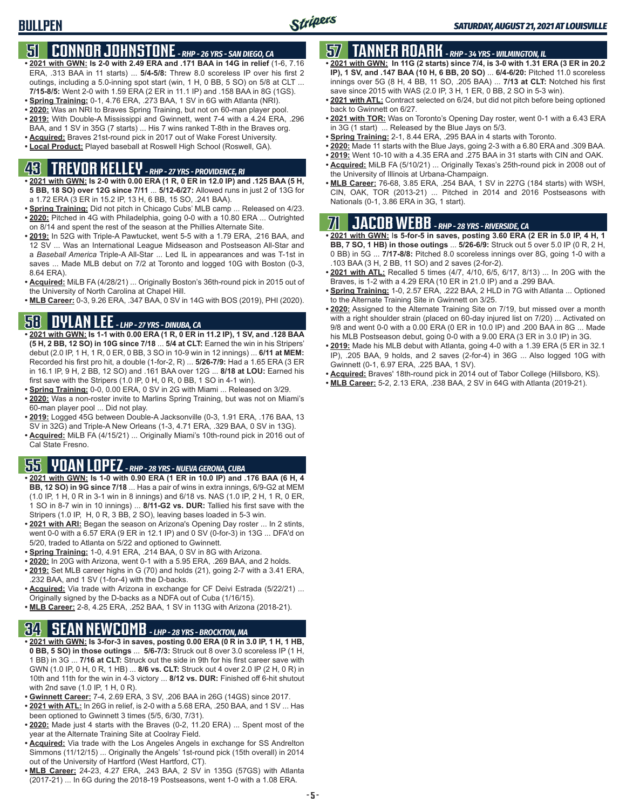### **51 CONNOR JOHNSTONE** *- RHP - 26 YRS - SAN DIEGO, CA*

- **• 2021 with GWN: Is 2-0 with 2.49 ERA and .171 BAA in 14G in relief** (1-6, 7.16 ERA, .313 BAA in 11 starts) ... **5/4-5/8:** Threw 8.0 scoreless IP over his first 2 outings, including a 5.0-inning spot start (win, 1 H, 0 BB, 5 SO) on 5/8 at CLT ... **7/15-8/5:** Went 2-0 with 1.59 ERA (2 ER in 11.1 IP) and .158 BAA in 8G (1GS).
- **• Spring Training:** 0-1, 4.76 ERA, .273 BAA, 1 SV in 6G with Atlanta (NRI).
- **• 2020:** Was an NRI to Braves Spring Training, but not on 60-man player pool. **• 2019:** With Double-A Mississippi and Gwinnett, went 7-4 with a 4.24 ERA, .296
- BAA, and 1 SV in 35G (7 starts) ... His 7 wins ranked T-8th in the Braves org. **• Acquired:** Braves 21st-round pick in 2017 out of Wake Forest University.
- **• Local Product:** Played baseball at Roswell High School (Roswell, GA).

# **43 TREVOR KELLEY** *- RHP - 27 YRS - PROVIDENCE, RI*

- **• 2021 with GWN: Is 2-0 with 0.00 ERA (1 R, 0 ER in 12.0 IP) and .125 BAA (5 H, 5 BB, 18 SO) over 12G since 7/11** ... **5/12-6/27:** Allowed runs in just 2 of 13G for a 1.72 ERA (3 ER in 15.2 IP, 13 H, 6 BB, 15 SO, .241 BAA).
- **• Spring Training:** Did not pitch in Chicago Cubs' MLB camp ... Released on 4/23. **• 2020:** Pitched in 4G with Philadelphia, going 0-0 with a 10.80 ERA ... Outrighted on 8/14 and spent the rest of the season at the Phillies Alternate Site.
- **• 2019:** In 52G with Triple-A Pawtucket, went 5-5 with a 1.79 ERA, .216 BAA, and 12 SV ... Was an International League Midseason and Postseason All-Star and a *Baseball America* Triple-A All-Star ... Led IL in appearances and was T-1st in saves ... Made MLB debut on 7/2 at Toronto and logged 10G with Boston (0-3, 8.64 ERA).
- **• Acquired:** MiLB FA (4/28/21) ... Originally Boston's 36th-round pick in 2015 out of the University of North Carolina at Chapel Hill.
- **• MLB Career:** 0-3, 9.26 ERA, .347 BAA, 0 SV in 14G with BOS (2019), PHI (2020).

### **58 DYLAN LEE** *- LHP - 27 YRS - DINUBA, CA*

- **• 2021 with GWN: Is 1-1 with 0.00 ERA (1 R, 0 ER in 11.2 IP), 1 SV, and .128 BAA (5 H, 2 BB, 12 SO) in 10G since 7/18** ... **5/4 at CLT:** Earned the win in his Stripers' debut (2.0 IP, 1 H, 1 R, 0 ER, 0 BB, 3 SO in 10-9 win in 12 innings) ... **6/11 at MEM:** Recorded his first pro hit, a double (1-for-2, R) ... **5/26-7/9:** Had a 1.65 ERA (3 ER in 16.1 IP, 9 H, 2 BB, 12 SO) and .161 BAA over 12G ... **8/18 at LOU:** Earned his first save with the Stripers (1.0 IP, 0 H, 0 R, 0 BB, 1 SO in 4-1 win).
- **• Spring Training:** 0-0, 0.00 ERA, 0 SV in 2G with Miami ... Released on 3/29.
- **• 2020:** Was a non-roster invite to Marlins Spring Training, but was not on Miami's 60-man player pool ... Did not play.
- **• 2019:** Logged 45G between Double-A Jacksonville (0-3, 1.91 ERA, .176 BAA, 13 SV in 32G) and Triple-A New Orleans (1-3, 4.71 ERA, .329 BAA, 0 SV in 13G).
- **• Acquired:** MiLB FA (4/15/21) ... Originally Miami's 10th-round pick in 2016 out of Cal State Fresno.

### **55 YOAN LOPEZ** *- RHP - 28 YRS - NUEVA GERONA, CUBA*

- **• 2021 with GWN: Is 1-0 with 0.90 ERA (1 ER in 10.0 IP) and .176 BAA (6 H, 4 BB, 12 SO) in 9G since 7/18** ... Has a pair of wins in extra innings, 6/9-G2 at MEM (1.0 IP, 1 H, 0 R in 3-1 win in 8 innings) and 6/18 vs. NAS (1.0 IP, 2 H, 1 R, 0 ER, 1 SO in 8-7 win in 10 innings) ... **8/11-G2 vs. DUR:** Tallied his first save with the Stripers (1.0 IP, H, 0 R, 3 BB, 2 SO), leaving bases loaded in 5-3 win.
- **• 2021 with ARI:** Began the season on Arizona's Opening Day roster ... In 2 stints, went 0-0 with a 6.57 ERA (9 ER in 12.1 IP) and 0 SV (0-for-3) in 13G ... DFA'd on 5/20, traded to Atlanta on 5/22 and optioned to Gwinnett.
- **• Spring Training:** 1-0, 4.91 ERA, .214 BAA, 0 SV in 8G with Arizona.
- **• 2020:** In 20G with Arizona, went 0-1 with a 5.95 ERA, .269 BAA, and 2 holds.
- **• 2019:** Set MLB career highs in G (70) and holds (21), going 2-7 with a 3.41 ERA, .232 BAA, and 1 SV (1-for-4) with the D-backs.
- **• Acquired:** Via trade with Arizona in exchange for CF Deivi Estrada (5/22/21) ... Originally signed by the D-backs as a NDFA out of Cuba (1/16/15).
- **• MLB Career:** 2-8, 4.25 ERA, .252 BAA, 1 SV in 113G with Arizona (2018-21).

#### **34 SEAN NEWCOMB** *- LHP - 28 YRS - BROCKTON, MA*

- **• 2021 with GWN: Is 3-for-3 in saves, posting 0.00 ERA (0 R in 3.0 IP, 1 H, 1 HB, 0 BB, 5 SO) in those outings** ... **5/6-7/3:** Struck out 8 over 3.0 scoreless IP (1 H, 1 BB) in 3G ... **7/16 at CLT:** Struck out the side in 9th for his first career save with GWN (1.0 IP, 0 H, 0 R, 1 HB) ... **8/6 vs. CLT:** Struck out 4 over 2.0 IP (2 H, 0 R) in 10th and 11th for the win in 4-3 victory ... **8/12 vs. DUR:** Finished off 6-hit shutout with 2nd save (1.0 IP, 1 H, 0 R).
- **• Gwinnett Career:** 7-4, 2.69 ERA, 3 SV, .206 BAA in 26G (14GS) since 2017.
- **• 2021 with ATL:** In 26G in relief, is 2-0 with a 5.68 ERA, .250 BAA, and 1 SV ... Has been optioned to Gwinnett 3 times (5/5, 6/30, 7/31).
- **• 2020:** Made just 4 starts with the Braves (0-2, 11.20 ERA) ... Spent most of the year at the Alternate Training Site at Coolray Field.
- **• Acquired:** Via trade with the Los Angeles Angels in exchange for SS Andrelton Simmons (11/12/15) ... Originally the Angels' 1st-round pick (15th overall) in 2014 out of the University of Hartford (West Hartford, CT).
- **• MLB Career:** 24-23, 4.27 ERA, .243 BAA, 2 SV in 135G (57GS) with Atlanta (2017-21) ... In 6G during the 2018-19 Postseasons, went 1-0 with a 1.08 ERA.

# **57 TANNER ROARK** *- RHP - 34 YRS - WILMINGTON, IL*

- **• 2021 with GWN: In 11G (2 starts) since 7/4, is 3-0 with 1.31 ERA (3 ER in 20.2 IP), 1 SV, and .147 BAA (10 H, 6 BB, 20 SO)** ... **6/4-6/20:** Pitched 11.0 scoreless innings over 5G (8 H, 4 BB, 11 SO, .205 BAA) ... **7/13 at CLT:** Notched his first save since 2015 with WAS (2.0 IP, 3 H, 1 ER, 0 BB, 2 SO in 5-3 win).
- **• 2021 with ATL:** Contract selected on 6/24, but did not pitch before being optioned back to Gwinnett on 6/27.
- **• 2021 with TOR:** Was on Toronto's Opening Day roster, went 0-1 with a 6.43 ERA in 3G (1 start) ... Released by the Blue Jays on 5/3.
- **• Spring Training:** 2-1, 8.44 ERA, .295 BAA in 4 starts with Toronto.
- **• 2020:** Made 11 starts with the Blue Jays, going 2-3 with a 6.80 ERA and .309 BAA.
- **• 2019:** Went 10-10 with a 4.35 ERA and .275 BAA in 31 starts with CIN and OAK.
- **• Acquired:** MiLB FA (5/10/21) ... Originally Texas's 25th-round pick in 2008 out of the University of Illinois at Urbana-Champaign.
- **• MLB Career:** 76-68, 3.85 ERA, .254 BAA, 1 SV in 227G (184 starts) with WSH, CIN, OAK, TOR (2013-21) ... Pitched in 2014 and 2016 Postseasons with Nationals (0-1, 3.86 ERA in 3G, 1 start).

# **71 JACOB WEBB** *- RHP - 28 YRS - RIVERSIDE, CA*

**• 2021 with GWN:** I**s 5-for-5 in saves, posting 3.60 ERA (2 ER in 5.0 IP, 4 H, 1 BB, 7 SO, 1 HB) in those outings** ... **5/26-6/9:** Struck out 5 over 5.0 IP (0 R, 2 H, 0 BB) in 5G ... **7/17-8/8:** Pitched 8.0 scoreless innings over 8G, going 1-0 with a .103 BAA (3 H, 2 BB, 11 SO) and 2 saves (2-for-2).

- **• 2021 with ATL:** Recalled 5 times (4/7, 4/10, 6/5, 6/17, 8/13) ... In 20G with the Braves, is 1-2 with a 4.29 ERA (10 ER in 21.0 IP) and a .299 BAA.
- **• Spring Training:** 1-0, 2.57 ERA, .222 BAA, 2 HLD in 7G with Atlanta ... Optioned to the Alternate Training Site in Gwinnett on 3/25.
- **• 2020:** Assigned to the Alternate Training Site on 7/19, but missed over a month with a right shoulder strain (placed on 60-day injured list on 7/20) ... Activated on 9/8 and went 0-0 with a 0.00 ERA (0 ER in 10.0 IP) and .200 BAA in 8G ... Made his MLB Postseason debut, going 0-0 with a 9.00 ERA (3 ER in 3.0 IP) in 3G.
- **• 2019:** Made his MLB debut with Atlanta, going 4-0 with a 1.39 ERA (5 ER in 32.1 IP), .205 BAA, 9 holds, and 2 saves (2-for-4) in 36G ... Also logged 10G with Gwinnett (0-1, 6.97 ERA, .225 BAA, 1 SV).
- **• Acquired:** Braves' 18th-round pick in 2014 out of Tabor College (Hillsboro, KS).
- **• MLB Career:** 5-2, 2.13 ERA, .238 BAA, 2 SV in 64G with Atlanta (2019-21).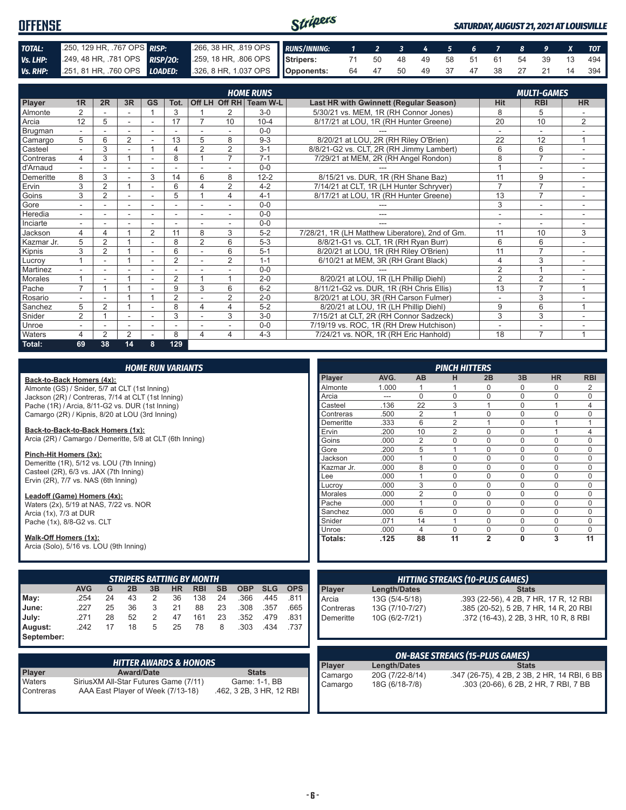| <b>OFFENSE</b> |                                                                      |                                                      | Stripers<br>SATURDAY, AUGUST 21, 2021 AT LOUISVILLE |                               |  |  |  |  |  |  |  |                               |            |
|----------------|----------------------------------------------------------------------|------------------------------------------------------|-----------------------------------------------------|-------------------------------|--|--|--|--|--|--|--|-------------------------------|------------|
| TOTAL:         | 250, 129 HR, .767 OPS RISP:                                          | 266, 38 HR, 819 OPS RUNS/INNING: 1 2 3 4 5 6 7 8 9 X |                                                     |                               |  |  |  |  |  |  |  |                               | <b>TOT</b> |
|                | <b>Vs. LHP:</b> 249, 48 HR, .781 OPS RISP/20:                        | 259, 18 HR, 806 OPS Stripers:                        |                                                     | 71 50 48 49 58 51 61 54 39 13 |  |  |  |  |  |  |  |                               | 494        |
|                | Vs. RHP: 251, 81 HR, 760 OPS LOADED: 326, 8 HR, 1.037 OPS Opponents: |                                                      |                                                     |                               |  |  |  |  |  |  |  | 64 47 50 49 37 47 38 27 21 14 | 394 I      |

|            | <b>HOME RUNS</b><br><b>MULTI-GAMES</b> |                |                |                          |                |                          |                |                                                                      |                                                 |                |                          |                |
|------------|----------------------------------------|----------------|----------------|--------------------------|----------------|--------------------------|----------------|----------------------------------------------------------------------|-------------------------------------------------|----------------|--------------------------|----------------|
| Player     | 1R                                     | 2R             | 3R             | <b>GS</b>                | Tot.           |                          |                | Off LH Off RH Team W-L                                               | Last HR with Gwinnett (Regular Season)          | <b>Hit</b>     | <b>RBI</b>               | <b>HR</b>      |
| Almonte    | 2                                      |                |                | $\overline{ }$           | 3              |                          | 2              | $3-0$                                                                | 5/30/21 vs. MEM, 1R (RH Connor Jones)           | 8              | 5                        |                |
| Arcia      | 12                                     | 5              | ÷.             | $\sim$                   | 17             |                          | 10             | $10 - 4$                                                             | 8/17/21 at LOU, 1R (RH Hunter Greene)           | 20             | 10                       | 2              |
| Brugman    |                                        |                |                |                          |                |                          |                | $0 - 0$                                                              |                                                 |                | ۰                        |                |
| Camargo    | 5                                      | 6              | 2              |                          | 13             | 5                        | 8              | $9 - 3$                                                              | 8/20/21 at LOU, 2R (RH Riley O'Brien)           | 22             | 12                       | 1              |
| Casteel    |                                        | 3              |                |                          | 4              | $\overline{2}$           | $\overline{2}$ | $3 - 1$                                                              | 8/8/21-G2 vs. CLT, 2R (RH Jimmy Lambert)        | 6              | 6                        |                |
| Contreras  | 4                                      | 3              |                |                          | 8              |                          | 7              | $7 - 1$                                                              | 7/29/21 at MEM, 2R (RH Angel Rondon)            | 8              | $\overline{7}$           |                |
| d'Arnaud   | $\overline{\phantom{a}}$               |                | ۰              | ٠                        |                |                          |                | $0 - 0$                                                              |                                                 |                | ٠                        | ٠              |
| Demeritte  | 8                                      | 3              |                | 3                        | 14             | 6                        | 8              | $12 - 2$                                                             | 8/15/21 vs. DUR, 1R (RH Shane Baz)              | 11             | 9                        |                |
| Ervin      | 3                                      | $\overline{2}$ |                | ۰                        | 6              | 4                        | $\overline{2}$ | $4 - 2$                                                              | 7/14/21 at CLT, 1R (LH Hunter Schryver)         | $\overline{7}$ | $\overline{7}$           | $\sim$         |
| Goins      | 3                                      | 2              |                |                          | 5              |                          | 4              | $4 - 1$                                                              | 8/17/21 at LOU, 1R (RH Hunter Greene)           | 13             | $\overline{7}$           | ٠              |
| Gore       |                                        |                | ۰              |                          |                |                          |                | $0 - 0$                                                              |                                                 | 3              | ۰                        |                |
| Heredia    | $\sim$                                 | ÷.             | ÷.             | $\overline{\phantom{a}}$ | ٠              | $\overline{\phantom{a}}$ | $\sim$         | $0 - 0$                                                              | ---                                             | ٠              | $\overline{\phantom{a}}$ | $\sim$         |
| Inciarte   |                                        |                |                |                          |                |                          |                | $0 - 0$                                                              |                                                 | ۰              | ٠                        |                |
| Jackson    | 4                                      | 4              |                | $\overline{2}$           | 11             | 8                        | 3              | $5-2$                                                                | 7/28/21, 1R (LH Matthew Liberatore), 2nd of Gm. | 11             | 10                       | 3              |
| Kazmar Jr. | 5                                      | $\overline{2}$ |                |                          | 8              | $\overline{2}$           | 6              | $5-3$                                                                | 8/8/21-G1 vs. CLT, 1R (RH Ryan Burr)            | 6              | 6                        |                |
| Kipnis     | 3                                      | $\overline{2}$ |                | ٠                        | 6              |                          | 6              | $5 - 1$                                                              | 8/20/21 at LOU, 1R (RH Riley O'Brien)           | 11             | $\overline{7}$           |                |
| Lucrov     |                                        | ۰              |                | ٠                        | $\overline{2}$ |                          | 2              | $1 - 1$                                                              | 6/10/21 at MEM, 3R (RH Grant Black)             | 4              | 3                        | ٠              |
| Martinez   |                                        |                |                | ÷                        |                |                          |                | $0 - 0$                                                              |                                                 | $\overline{2}$ | $\overline{4}$           |                |
| Morales    |                                        |                |                | ٠                        | $\overline{2}$ |                          |                | $2 - 0$                                                              | 8/20/21 at LOU, 1R (LH Phillip Diehl)           | $\overline{2}$ | 2                        |                |
| Pache      | $\overline{ }$                         |                |                |                          | 9              | 3                        | 6              | $6 - 2$                                                              | 8/11/21-G2 vs. DUR, 1R (RH Chris Ellis)         | 13             | $\overline{7}$           | $\overline{ }$ |
| Rosario    |                                        |                |                |                          | $\overline{2}$ |                          | $\overline{2}$ | $2 - 0$                                                              | 8/20/21 at LOU, 3R (RH Carson Fulmer)           | $\blacksquare$ | 3                        |                |
| Sanchez    | 5                                      | $\overline{2}$ |                |                          | 8              | 4                        | 4              | $5 - 2$                                                              | 8/20/21 at LOU, 1R (LH Phillip Diehl)           | 9              | 6                        | 1              |
| Snider     | $\overline{2}$                         |                | ÷.             | $\sim$                   | 3              |                          | 3              | $3-0$                                                                | 7/15/21 at CLT, 2R (RH Connor Sadzeck)          | 3              | 3                        |                |
| Unroe      | $\overline{\phantom{a}}$               |                | ۰              | $\overline{\phantom{a}}$ | ٠              |                          |                | 7/19/19 vs. ROC, 1R (RH Drew Hutchison)<br>$0 - 0$<br>$\blacksquare$ |                                                 | ٠              | ٠                        |                |
| Waters     | 4                                      | $\overline{2}$ | $\overline{2}$ |                          | 8              | 4                        | 4              | $4 - 3$                                                              | 7/24/21 vs. NOR. 1R (RH Eric Hanhold)           | 18             | $\overline{7}$           |                |
| Total:     | 69                                     | 38             | 14             | 8                        | 129            |                          |                |                                                                      |                                                 |                |                          |                |

|       |                                                           |    |    |    | <b>HOME RUN VARIANTS</b> |                                  |           |            |            |            |            |                     |                | <b>PINCH HITTERS</b>                   |                |              |                                        |             |
|-------|-----------------------------------------------------------|----|----|----|--------------------------|----------------------------------|-----------|------------|------------|------------|------------|---------------------|----------------|----------------------------------------|----------------|--------------|----------------------------------------|-------------|
|       | Back-to-Back Homers (4x):                                 |    |    |    |                          |                                  |           |            |            |            | Player     | AVG.                | AB             | н                                      | 2B             | 3B           | <b>HR</b>                              | <b>RBI</b>  |
|       | Almonte (GS) / Snider, 5/7 at CLT (1st Inning)            |    |    |    |                          |                                  |           |            |            |            | Almonte    | 1.000               |                |                                        | <sup>0</sup>   |              | 0                                      | 2           |
|       | Jackson (2R) / Contreras, 7/14 at CLT (1st Inning)        |    |    |    |                          |                                  |           |            |            |            | Arcia      | ---                 | $\Omega$       | $\Omega$                               | $\Omega$       | $\Omega$     | $\mathbf 0$                            | 0           |
|       | Pache (1R) / Arcia, 8/11-G2 vs. DUR (1st Inning)          |    |    |    |                          |                                  |           |            |            |            | Casteel    | .136                | 22             | 3                                      |                | $\Omega$     |                                        | 4           |
|       | Camargo (2R) / Kipnis, 8/20 at LOU (3rd Inning)           |    |    |    |                          |                                  |           |            |            |            | Contreras  | .500                | 2              |                                        | $\Omega$       | $\Omega$     | 0                                      | 0           |
|       |                                                           |    |    |    |                          |                                  |           |            |            |            | Demeritte  | .333                | 6              | $\overline{2}$                         |                | $\Omega$     |                                        | 1           |
|       | Back-to-Back-to-Back Homers (1x):                         |    |    |    |                          |                                  |           |            |            |            | Ervin      | .200                | 10             | $\overline{2}$                         | $\Omega$       |              |                                        | 4           |
|       | Arcia (2R) / Camargo / Demeritte, 5/8 at CLT (6th Inning) |    |    |    |                          |                                  |           |            |            |            | Goins      | .000                | 2              | $\Omega$                               | $\Omega$       | $\Omega$     | $\mathbf 0$                            | 0           |
|       |                                                           |    |    |    |                          |                                  |           |            |            |            | Gore       | .200                | 5              |                                        | $\Omega$       |              | $\mathbf 0$                            | 0           |
|       | Pinch-Hit Homers (3x):                                    |    |    |    |                          |                                  |           |            |            |            | Jackson    | .000                |                | $\Omega$                               | $\Omega$       | $\Omega$     | 0                                      | 0           |
|       | Demeritte (1R), 5/12 vs. LOU (7th Inning)                 |    |    |    |                          |                                  |           |            |            |            | Kazmar Jr. | .000                | 8              | 0                                      | $\Omega$       | $\Omega$     | $\mathbf 0$                            | 0           |
|       | Casteel (2R), 6/3 vs. JAX (7th Inning)                    |    |    |    |                          |                                  |           |            |            |            | Lee        | .000                |                | $\Omega$                               | $\Omega$       | $\Omega$     | $\Omega$                               | 0           |
|       | Ervin (2R), 7/7 vs. NAS (6th Inning)                      |    |    |    |                          |                                  |           |            |            |            | Lucrov     | .000                | 3              | $\Omega$                               | $\Omega$       |              | $\mathbf 0$                            | 0           |
|       | Leadoff (Game) Homers (4x):                               |    |    |    |                          |                                  |           |            |            |            | Morales    | .000                | $\overline{2}$ | $\Omega$                               | $\Omega$       |              | $\mathbf 0$                            | $\mathbf 0$ |
|       | Waters (2x), 5/19 at NAS, 7/22 vs. NOR                    |    |    |    |                          |                                  |           |            |            |            | Pache      | .000                |                | $\Omega$                               | $\Omega$       | $\Omega$     | $\mathbf 0$                            | 0           |
|       | Arcia (1x), 7/3 at DUR                                    |    |    |    |                          |                                  |           |            |            |            | Sanchez    | .000                | 6              | $\Omega$                               | $\Omega$       | $\Omega$     | $\mathbf 0$                            | 0           |
|       | Pache (1x), 8/8-G2 vs. CLT                                |    |    |    |                          |                                  |           |            |            |            | Snider     | .071                | 14             |                                        | $\Omega$       |              | $\mathbf 0$                            | 0           |
|       |                                                           |    |    |    |                          |                                  |           |            |            |            | Unroe      | .000                | 4              | $\Omega$                               | $\Omega$       | $\Omega$     | 0                                      | 0           |
|       | Walk-Off Homers (1x):                                     |    |    |    |                          |                                  |           |            |            |            | Totals:    | .125                | 88             | 11                                     | $\overline{2}$ | 0            | 3                                      | 11          |
|       | Arcia (Solo), 5/16 vs. LOU (9th Inning)                   |    |    |    |                          |                                  |           |            |            |            |            |                     |                |                                        |                |              |                                        |             |
|       |                                                           |    |    |    |                          |                                  |           |            |            |            |            |                     |                |                                        |                |              |                                        |             |
|       |                                                           |    |    |    |                          |                                  |           |            |            |            |            |                     |                |                                        |                |              |                                        |             |
|       |                                                           |    |    |    |                          | <b>STRIPERS BATTING BY MONTH</b> |           |            |            |            |            |                     |                | <b>HITTING STREAKS (10-PLUS GAMES)</b> |                |              |                                        |             |
|       | <b>AVG</b>                                                | G  | 2B | 3B | <b>HR</b>                | <b>RBI</b>                       | <b>SB</b> | <b>OBP</b> | <b>SLG</b> | <b>OPS</b> | Player     | <b>Length/Dates</b> |                |                                        |                | <b>Stats</b> |                                        |             |
| May:  | .254                                                      | 24 | 43 | 2  | 36                       | 138                              | 24        | .366       | .445       | .811       | Arcia      | 13G (5/4-5/18)      |                |                                        |                |              | .393 (22-56), 4 2B, 7 HR, 17 R, 12 RBI |             |
| June: | .227                                                      | 25 | 36 | 3  | 21                       | 88                               | 23        | .308       | .357       | .665       | Contreras  | 13G (7/10-7/27)     |                |                                        |                |              | .385 (20-52), 5 2B, 7 HR, 14 R, 20 RBI |             |

| August:<br>September: |                                        |                   |                                   |  |               | .242  17  18  5  25  78  8  .303  .434  .737 |
|-----------------------|----------------------------------------|-------------------|-----------------------------------|--|---------------|----------------------------------------------|
|                       |                                        |                   | <b>HITTER AWARDS &amp; HONORS</b> |  |               |                                              |
| Player                |                                        | <b>Award/Date</b> |                                   |  | <b>Stats</b>  |                                              |
| Waters                | Sirius XM All-Star Futures Game (7/11) |                   |                                   |  | Game: 1-1, BB |                                              |

**July:** .271 28 52 2 47 161 23 .352 .479 .831

|           | <b>HITTER AWARDS &amp; HONORS</b>      |                          |
|-----------|----------------------------------------|--------------------------|
| Player    | <b>Award/Date</b>                      | <b>Stats</b>             |
| Waters    | Sirius XM All-Star Futures Game (7/11) | Game: 1-1, BB            |
| Contreras | AAA East Player of Week (7/13-18)      | .462, 3 2B, 3 HR, 12 RBI |
|           |                                        |                          |
|           |                                        |                          |

| Player    | Length/Dates    | <b>Stats</b>                           |
|-----------|-----------------|----------------------------------------|
| Arcia     | 13G (5/4-5/18)  | .393 (22-56), 4 2B, 7 HR, 17 R, 12 RBI |
| Contreras | 13G (7/10-7/27) | .385 (20-52), 5 2B, 7 HR, 14 R, 20 RBI |
| Demeritte | 10G (6/2-7/21)  | .372 (16-43), 2 2B, 3 HR, 10 R, 8 RBI  |
|           |                 |                                        |
|           |                 |                                        |
|           |                 |                                        |
|           |                 |                                        |

| <b>ON-BASE STREAKS (15-PLUS GAMES)</b> |                 |                                              |  |  |  |  |  |  |  |
|----------------------------------------|-----------------|----------------------------------------------|--|--|--|--|--|--|--|
| Player                                 | Length/Dates    | <b>Stats</b>                                 |  |  |  |  |  |  |  |
| Camargo                                | 20G (7/22-8/14) | .347 (26-75), 4 2B, 2 3B, 2 HR, 14 RBI, 6 BB |  |  |  |  |  |  |  |
| Camargo                                | 18G (6/18-7/8)  | .303 (20-66), 6 2B, 2 HR, 7 RBI, 7 BB        |  |  |  |  |  |  |  |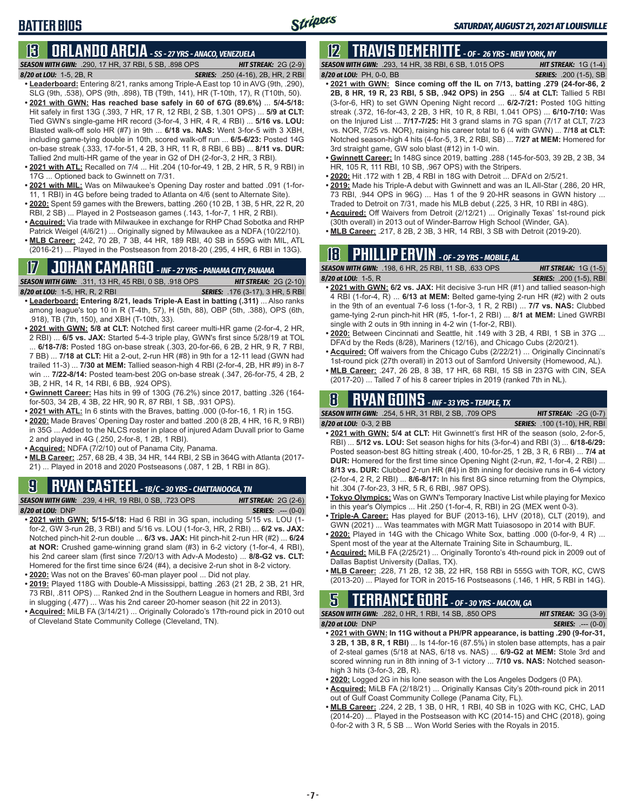### **BATTER BIOS**

### **13 ORLANDO ARCIA** *- SS - 27 YRS - ANACO, VENEZUELA*

*SEASON WITH GWN:*.290, 17 HR, 37 RBI, 5 SB, .898 OPS *HIT STREAK:* 2G (2-9) *8/20 at LOU:*1-5, 2B, R *SERIES:* .250 (4-16), 2B, HR, 2 RBI

- **• Leaderboard:** Entering 8/21, ranks among Triple-A East top 10 in AVG (9th, .290), SLG (9th, .538), OPS (9th, .898), TB (T9th, 141), HR (T-10th, 17), R (T10th, 50). **• 2021 with GWN: Has reached base safely in 60 of 67G (89.6%)** ... **5/4-5/18:**
- Hit safely in first 13G (.393, 7 HR, 17 R, 12 RBI, 2 SB, 1.301 OPS) ... **5/9 at CLT:** Tied GWN's single-game HR record (3-for-4, 3 HR, 4 R, 4 RBI) ... **5/16 vs. LOU:** Blasted walk-off solo HR (#7) in 9th ... **6/18 vs. NAS:** Went 3-for-5 with 3 XBH, including game-tying double in 10th, scored walk-off run ... **6/5-6/23:** Posted 14G on-base streak (.333, 17-for-51, 4 2B, 3 HR, 11 R, 8 RBI, 6 BB) ... **8/11 vs. DUR:** Tallied 2nd multi-HR game of the year in G2 of DH (2-for-3, 2 HR, 3 RBI).
- **• 2021 with ATL:** Recalled on 7/4 ... Hit .204 (10-for-49, 1 2B, 2 HR, 5 R, 9 RBI) in 17G ... Optioned back to Gwinnett on 7/31.
- **• 2021 with MIL:** Was on Milwaukee's Opening Day roster and batted .091 (1-for-11, 1 RBI) in 4G before being traded to Atlanta on 4/6 (sent to Alternate Site).
- **• 2020:** Spent 59 games with the Brewers, batting .260 (10 2B, 1 3B, 5 HR, 22 R, 20 RBI, 2 SB) ... Played in 2 Postseason games (.143, 1-for-7, 1 HR, 2 RBI).
- **• Acquired:** Via trade with Milwaukee in exchange for RHP Chad Sobotka and RHP Patrick Weigel (4/6/21) ... Originally signed by Milwaukee as a NDFA (10/22/10).
- **• MLB Career:** .242, 70 2B, 7 3B, 44 HR, 189 RBI, 40 SB in 559G with MIL, ATL (2016-21) ... Played in the Postseason from 2018-20 (.295, 4 HR, 6 RBI in 13G).

# **17 JOHAN CAMARGO** *- INF - 27 YRS - PANAMA CITY, PANAMA*

**SEASON WITH GWN:** .311, 13 HR, 45 RBI, 0 SB, .918 OPS

- *8/20 at LOU:* 1-5, HR, R, 2 RBI *SERIES:* .176 (3-17), 3 HR, 5 RBI
- **• Leaderboard: Entering 8/21, leads Triple-A East in batting (.311)** ... Also ranks among league's top 10 in R (T-4th, 57), H (5th, 88), OBP (5th, .388), OPS (6th, .918), TB (7th, 150), and XBH (T-10th, 33).
- **• 2021 with GWN: 5/8 at CLT:** Notched first career multi-HR game (2-for-4, 2 HR, 2 RBI) ... **6/5 vs. JAX:** Started 5-4-3 triple play, GWN's first since 5/28/19 at TOL ... **6/18-7/8:** Posted 18G on-base streak (.303, 20-for-66, 6 2B, 2 HR, 9 R, 7 RBI, 7 BB) ... **7/18 at CLT:** Hit a 2-out, 2-run HR (#8) in 9th for a 12-11 lead (GWN had trailed 11-3) ... **7/30 at MEM:** Tallied season-high 4 RBI (2-for-4, 2B, HR #9) in 8-7 win ... **7/22-8/14:** Posted team-best 20G on-base streak (.347, 26-for-75, 4 2B, 2 3B, 2 HR, 14 R, 14 RBI, 6 BB, .924 OPS).
- **• Gwinnett Career:** Has hits in 99 of 130G (76.2%) since 2017, batting .326 (164 for-503, 34 2B, 4 3B, 22 HR, 90 R, 87 RBI, 1 SB, .931 OPS).
- **• 2021 with ATL:** In 6 stints with the Braves, batting .000 (0-for-16, 1 R) in 15G.
- **• 2020:** Made Braves' Opening Day roster and batted .200 (8 2B, 4 HR, 16 R, 9 RBI) in 35G ... Added to the NLCS roster in place of injured Adam Duvall prior to Game 2 and played in 4G (.250, 2-for-8, 1 2B, 1 RBI).
- **• Acquired:** NDFA (7/2/10) out of Panama City, Panama.
- **• MLB Career:** .257, 68 2B, 4 3B, 34 HR, 144 RBI, 2 SB in 364G with Atlanta (2017- 21) ... Played in 2018 and 2020 Postseasons (.087, 1 2B, 1 RBI in 8G).

# **9 RYAN CASTEEL** *- 1B/C - 30 YRS - CHATTANOOGA, TN*

*SEASON WITH GWN:*.239, 4 HR, 19 RBI, 0 SB, .723 OPS *HIT STREAK:* 2G (2-6) *8/20 at LOU:*DNP *SERIES:* .--- (0-0)

- **• 2021 with GWN: 5/15-5/18:** Had 6 RBI in 3G span, including 5/15 vs. LOU (1 for-2, GW 3-run 2B, 3 RBI) and 5/16 vs. LOU (1-for-3, HR, 2 RBI) ... **6/2 vs. JAX:** Notched pinch-hit 2-run double ... **6/3 vs. JAX:** Hit pinch-hit 2-run HR (#2) ... **6/24 at NOR:** Crushed game-winning grand slam (#3) in 6-2 victory (1-for-4, 4 RBI), his 2nd career slam (first since 7/20/13 with Adv-A Modesto) ... **8/8-G2 vs. CLT:** Homered for the first time since 6/24 (#4), a decisive 2-run shot in 8-2 victory. **• 2020:** Was not on the Braves' 60-man player pool ... Did not play.
- **• 2019:** Played 118G with Double-A Mississippi, batting .263 (21 2B, 2 3B, 21 HR,
- 73 RBI, .811 OPS) ... Ranked 2nd in the Southern League in homers and RBI, 3rd in slugging (.477) ... Was his 2nd career 20-homer season (hit 22 in 2013).
- **• Acquired:** MiLB FA (3/14/21) ... Originally Colorado's 17th-round pick in 2010 out of Cleveland State Community College (Cleveland, TN).

# **12 TRAVIS DEMERITTE** *- OF - 26 YRS - NEW YORK, NY*

*SEASON WITH GWN:*.293, 14 HR, 38 RBI, 6 SB, 1.015 OPS *HIT STREAK:* 1G (1-4) *8/20 at LOU:*PH, 0-0, BB *SERIES:* .200 (1-5), SB

- **• 2021 with GWN: Since coming off the IL on 7/13, batting .279 (24-for-86, 2 2B, 8 HR, 19 R, 23 RBI, 5 SB, .942 OPS) in 25G** ... **5/4 at CLT:** Tallied 5 RBI (3-for-6, HR) to set GWN Opening Night record ... **6/2-7/21:** Posted 10G hitting streak (.372, 16-for-43, 2 2B, 3 HR, 10 R, 8 RBI, 1.041 OPS) ... **6/10-7/10:** Was on the Injured List ... **7/17-7/25:** Hit 3 grand slams in 7G span (7/17 at CLT, 7/23 vs. NOR, 7/25 vs. NOR), raising his career total to 6 (4 with GWN) ... **7/18 at CLT:** Notched season-high 4 hits (4-for-5, 3 R, 2 RBI, SB) ... **7/27 at MEM:** Homered for 3rd straight game, GW solo blast (#12) in 1-0 win.
- **• Gwinnett Career:** In 148G since 2019, batting .288 (145-for-503, 39 2B, 2 3B, 34 HR, 105 R, 111 RBI, 10 SB, .967 OPS) with the Stripers.
- **• 2020:** Hit .172 with 1 2B, 4 RBI in 18G with Detroit ... DFA'd on 2/5/21.
- **• 2019:** Made his Triple-A debut with Gwinnett and was an IL All-Star (.286, 20 HR, 73 RBI, .944 OPS in 96G) ... Has 1 of the 9 20-HR seasons in GWN history ... Traded to Detroit on 7/31, made his MLB debut (.225, 3 HR, 10 RBI in 48G).
- **• Acquired:** Off Waivers from Detroit (2/12/21) ... Originally Texas' 1st-round pick (30th overall) in 2013 out of Winder-Barrow High School (Winder, GA).
- **• MLB Career:** .217, 8 2B, 2 3B, 3 HR, 14 RBI, 3 SB with Detroit (2019-20).

### **18 PHILLIP ERVIN** *- OF - 29 YRS - MOBILE, AL*

*SEASON WITH GWN:*.198, 6 HR, 25 RBI, 11 SB, .633 OPS *HIT STREAK:* 1G (1-5)

- 
- *8/20 at LOU:*1-5, R *SERIES:* .200 (1-5), RBI **• 2021 with GWN: 6/2 vs. JAX:** Hit decisive 3-run HR (#1) and tallied season-high 4 RBI (1-for-4, R) ... **6/13 at MEM:** Belted game-tying 2-run HR (#2) with 2 outs in the 9th of an eventual 7-6 loss (1-for-3, 1 R, 2 RBI) ... **7/7 vs. NAS:** Clubbed game-tying 2-run pinch-hit HR (#5, 1-for-1, 2 RBI) ... **8/1 at MEM:** Lined GWRBI single with 2 outs in 9th inning in 4-2 win (1-for-2, RBI).
- **• 2020:** Between Cincinnati and Seattle, hit .149 with 3 2B, 4 RBI, 1 SB in 37G ... DFA'd by the Reds (8/28), Mariners (12/16), and Chicago Cubs (2/20/21).
- **• Acquired:** Off waivers from the Chicago Cubs (2/22/21) ... Originally Cincinnati's 1st-round pick (27th overall) in 2013 out of Samford University (Homewood, AL).
- **• MLB Career:** .247, 26 2B, 8 3B, 17 HR, 68 RBI, 15 SB in 237G with CIN, SEA (2017-20) ... Talled 7 of his 8 career triples in 2019 (ranked 7th in NL).

# **8 RYAN GOINS** *- INF - 33 YRS - TEMPLE, TX*

*SEASON WITH GWN:*.254, 5 HR, 31 RBI, 2 SB, .709 OPS *HIT STREAK:* -2G (0-7) *8/20 at LOU:*0-3, 2 BB *SERIES:* .100 (1-10), HR, RBI

- 
- **• 2021 with GWN: 5/4 at CLT:** Hit Gwinnett's first HR of the season (solo, 2-for-5, RBI) ... **5/12 vs. LOU:** Set season highs for hits (3-for-4) and RBI (3) ... **6/18-6/29:** Posted season-best 8G hitting streak (.400, 10-for-25, 1 2B, 3 R, 6 RBI) ... **7/4 at DUR:** Homered for the first time since Opening Night (2-run, #2, 1-for-4, 2 RBI) ... **8/13 vs. DUR:** Clubbed 2-run HR (#4) in 8th inning for decisive runs in 6-4 victory (2-for-4, 2 R, 2 RBI) ... **8/6-8/17:** In his first 8G since returning from the Olympics, hit .304 (7-for-23, 3 HR, 5 R, 6 RBI, .987 OPS).
- **• Tokyo Olympics:** Was on GWN's Temporary Inactive List while playing for Mexico in this year's Olympics ... Hit .250 (1-for-4, R, RBI) in 2G (MEX went 0-3).
- **• Triple-A Career:** Has played for BUF (2013-16), LHV (2018), CLT (2019), and GWN (2021) ... Was teammates with MGR Matt Tuiasosopo in 2014 with BUF.
- **• 2020:** Played in 14G with the Chicago White Sox, batting .000 (0-for-9, 4 R) ... Spent most of the year at the Alternate Training Site in Schaumburg, IL.
- **• Acquired:** MiLB FA (2/25/21) ... Originally Toronto's 4th-round pick in 2009 out of Dallas Baptist University (Dallas, TX).
- **• MLB Career:** .228, 71 2B, 12 3B, 22 HR, 158 RBI in 555G with TOR, KC, CWS (2013-20) ... Played for TOR in 2015-16 Postseasons (.146, 1 HR, 5 RBI in 14G).

# **5 TERRANCE GORE** *- OF - 30 YRS - MACON, GA*

*SEASON WITH GWN:*.282, 0 HR, 1 RBI, 14 SB, .850 OPS *HIT STREAK:* 3G (3-9) *8/20 at LOU:*DNP *SERIES:* .--- (0-0)

- **• 2021 with GWN: In 11G without a PH/PR appearance, is batting .290 (9-for-31, 3 2B, 1 3B, 8 R, 1 RBI)** ... Is 14-for-16 (87.5%) in stolen base attempts, has a pair of 2-steal games (5/18 at NAS, 6/18 vs. NAS) ... **6/9-G2 at MEM:** Stole 3rd and scored winning run in 8th inning of 3-1 victory ... **7/10 vs. NAS:** Notched seasonhigh 3 hits (3-for-3, 2B, R).
- **• 2020:** Logged 2G in his lone season with the Los Angeles Dodgers (0 PA).
- **• Acquired:** MiLB FA (2/18/21) ... Originally Kansas City's 20th-round pick in 2011 out of Gulf Coast Community College (Panama City, FL).
- **• MLB Career:** .224, 2 2B, 1 3B, 0 HR, 1 RBI, 40 SB in 102G with KC, CHC, LAD (2014-20) ... Played in the Postseason with KC (2014-15) and CHC (2018), going 0-for-2 with 3 R, 5 SB ... Won World Series with the Royals in 2015.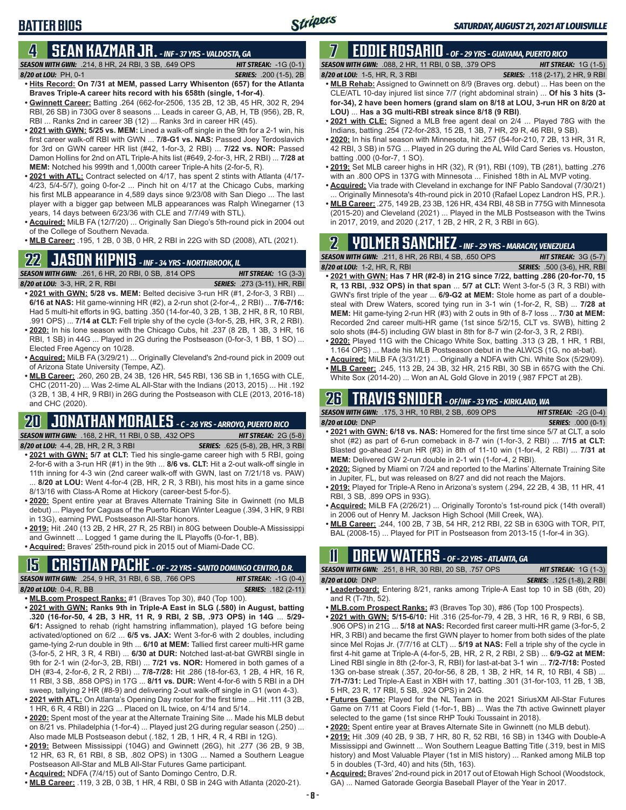### **4 SEAN KAZMAR JR.** *- INF - 37 YRS - VALDOSTA, GA*

*SEASON WITH GWN:*.214, 8 HR, 24 RBI, 3 SB, .649 OPS *HIT STREAK:* -1G (0-1) *8/20 at LOU:*PH, 0-1 *SERIES:* .200 (1-5), 2B

**BATTER BIOS**

- **• Hits Record: On 7/31 at MEM, passed Larry Whisenton (657) for the Atlanta Braves Triple-A career hits record with his 658th (single, 1-for-4)**. **• Gwinnett Career:** Batting .264 (662-for-2506, 135 2B, 12 3B, 45 HR, 302 R, 294
- RBI, 26 SB) in 730G over 8 seasons ... Leads in career G, AB, H, TB (956), 2B, R, RBI ... Ranks 2nd in career 3B (12) ... Ranks 3rd in career HR (45).
- **• 2021 with GWN: 5/25 vs. MEM:** Lined a walk-off single in the 9th for a 2-1 win, his first career walk-off RBI with GWN ... **7/8-G1 vs. NAS:** Passed Joey Terdoslavich for 3rd on GWN career HR list (#42, 1-for-3, 2 RBI) ... **7/22 vs. NOR:** Passed Damon Hollins for 2nd on ATL Triple-A hits list (#649, 2-for-3, HR, 2 RBI) ... **7/28 at MEM:** Notched his 999th and 1,000th career Triple-A hits (2-for-5, R).
- **• 2021 with ATL:** Contract selected on 4/17, has spent 2 stints with Atlanta (4/17- 4/23, 5/4-5/7), going 0-for-2 ... Pinch hit on 4/17 at the Chicago Cubs, marking his first MLB appearance in 4,589 days since 9/23/08 with San Diego ... The last player with a bigger gap between MLB appearances was Ralph Winegarner (13 years, 14 days between 6/23/36 with CLE and 7/7/49 with STL).
- **• Acquired:** MiLB FA (12/7/20) ... Originally San Diego's 5th-round pick in 2004 out of the College of Southern Nevada.
- **• MLB Career:** .195, 1 2B, 0 3B, 0 HR, 2 RBI in 22G with SD (2008), ATL (2021).

# **22 JASON KIPNIS** *- INF - 34 YRS - NORTHBROOK, IL*

*SEASON WITH GWN:*.261, 6 HR, 20 RBI, 0 SB, .814 OPS *HIT STREAK:* 1G (3-3)

- *8/20 at LOU:*3-3, HR, 2 R, RBI *SERIES:* .273 (3-11), HR, RBI **• 2021 with GWN: 5/28 vs. MEM:** Belted decisive 3-run HR (#1, 2-for-3, 3 RBI) ... **6/16 at NAS:** Hit game-winning HR (#2), a 2-run shot (2-for-4,, 2 RBI) ... **7/6-7/16:** Had 5 multi-hit efforts in 9G, batting .350 (14-for-40, 3 2B, 1 3B, 2 HR, 8 R, 10 RBI, .991 OPS) ... **7/14 at CLT:** Fell triple shy of the cycle (3-for-5, 2B, HR, 3 R, 2 RBI).
- **• 2020:** In his lone season with the Chicago Cubs, hit .237 (8 2B, 1 3B, 3 HR, 16 RBI, 1 SB) in 44G ... Played in 2G during the Postseason (0-for-3, 1 BB, 1 SO) ... Elected Free Agency on 10/28.
- **• Acquired:** MiLB FA (3/29/21) ... Originally Cleveland's 2nd-round pick in 2009 out of Arizona State University (Tempe, AZ).
- **• MLB Career:** .260, 260 2B, 24 3B, 126 HR, 545 RBI, 136 SB in 1,165G with CLE, CHC (2011-20) ... Was 2-time AL All-Star with the Indians (2013, 2015) ... Hit .192 (3 2B, 1 3B, 4 HR, 9 RBI) in 26G during the Postseason with CLE (2013, 2016-18) and CHC (2020).

#### **20 JONATHAN MORALES** *- C - 26 YRS - ARROYO, PUERTO RICO SEASON WITH GWN:*.168, 2 HR, 11 RBI, 0 SB, .432 OPS *HIT STREAK:* 2G (5-8)

- *8/20 at LOU:*4-4, 2B, HR, 2 R, 3 RBI *SERIES:* .625 (5-8), 2B, HR, 3 RBI **• 2021 with GWN: 5/7 at CLT:** Tied his single-game career high with 5 RBI, going 2-for-6 with a 3-run HR (#1) in the 9th ... **8/6 vs. CLT:** Hit a 2-out walk-off single in 11th inning for 4-3 win (2nd career walk-off with GWN, last on 7/21/18 vs. PAW) ... **8/20 at LOU:** Went 4-for-4 (2B, HR, 2 R, 3 RBI), his most hits in a game since 8/13/16 with Class-A Rome at Hickory (career-best 5-for-5).
- **• 2020:** Spent entire year at Braves Alternate Training Site in Gwinnett (no MLB debut) ... Played for Caguas of the Puerto Rican Winter League (.394, 3 HR, 9 RBI in 13G), earning PWL Postseason All-Star honors.
- **• 2019:** Hit .240 (13 2B, 2 HR, 27 R, 25 RBI) in 80G between Double-A Mississippi and Gwinnett ... Logged 1 game during the IL Playoffs (0-for-1, BB).
- **• Acquired:** Braves' 25th-round pick in 2015 out of Miami-Dade CC.

# **15 CRISTIAN PACHE** *- OF - 22 YRS - SANTO DOMINGO CENTRO, D.R.*

*SEASON WITH GWN:*.254, 9 HR, 31 RBI, 6 SB, .766 OPS *HIT STREAK:* -1G (0-4)

*8/20 at LOU:* 0-4, R, BB *SERIES:* .182 (2-11)

- **• MLB.com Prospect Ranks:** #1 (Braves Top 30), #40 (Top 100). **• 2021 with GWN: Ranks 9th in Triple-A East in SLG (.580) in August, batting .320 (16-for-50, 4 2B, 3 HR, 11 R, 9 RBI, 2 SB, .973 OPS) in 14G** ... **5/29- 6/1:** Assigned to rehab (right hamstring inflammation), played 1G before being activated/optioned on 6/2 ... **6/5 vs. JAX:** Went 3-for-6 with 2 doubles, including game-tying 2-run double in 9th ... **6/10 at MEM:** Tallied first career multi-HR game (3-for-5, 2 HR, 3 R, 4 RBI) ... **6/30 at DUR:** Notched last-at-bat GWRBI single in 9th for 2-1 win (2-for-3, 2B, RBI) ... **7/21 vs. NOR:** Homered in both games of a DH (#3-4, 2-for-6, 2 R, 2 RBI) ... **7/8-7/28:** Hit .286 (18-for-63, 1 2B, 4 HR, 16 R, 11 RBI, 3 SB, .858 OPS) in 17G ... **8/11 vs. DUR:** Went 4-for-6 with 5 RBI in a DH sweep, tallying 2 HR (#8-9) and delivering 2-out walk-off single in G1 (won 4-3).
- **• 2021 with ATL:** On Atlanta's Opening Day roster for the first time ... Hit .111 (3 2B, 1 HR, 6 R, 4 RBI) in 22G ... Placed on IL twice, on 4/14 and 5/14.
- **• 2020:** Spent most of the year at the Alternate Training Site ... Made his MLB debut on 8/21 vs. Philadelphia (1-for-4) ... Played just 2G during regular season (.250) ... Also made MLB Postseason debut (.182, 1 2B, 1 HR, 4 R, 4 RBI in 12G).
- **• 2019:** Between Mississippi (104G) and Gwinnett (26G), hit .277 (36 2B, 9 3B, 12 HR, 63 R, 61 RBI, 8 SB, .802 OPS) in 130G ... Named a Southern League Postseason All-Star and MLB All-Star Futures Game participant.
- **• Acquired:** NDFA (7/4/15) out of Santo Domingo Centro, D.R.
- **• MLB Career:** .119, 3 2B, 0 3B, 1 HR, 4 RBI, 0 SB in 24G with Atlanta (2020-21).

# **7 EDDIE ROSARIO** *- OF - 29 YRS - GUAYAMA, PUERTO RICO*

*SEASON WITH GWN:*.088, 2 HR, 11 RBI, 0 SB, .379 OPS *HIT STREAK:* 1G (1-5)

- *8/20 at LOU:* 1-5, HR, R, 3 RBI *SERIES:* .118 (2-17), 2 HR, 9 RBI **• MLB Rehab:** Assigned to Gwinnett on 8/9 (Braves org. debut) ... Has been on the CLE/ATL 10-day injured list since 7/7 (right abdominal strain) ... **Of his 3 hits (3 for-34), 2 have been homers (grand slam on 8/18 at LOU, 3-run HR on 8/20 at LOU)** ... **Has a 3G multi-RBI streak since 8/18 (9 RBI)**.
- **• 2021 with CLE:** Signed a MLB free agent deal on 2/4 ... Played 78G with the Indians, batting .254 (72-for-283, 15 2B, 1 3B, 7 HR, 29 R, 46 RBI, 9 SB).
- **• 2020:** In his final season with Minnesota, hit .257 (54-for-210, 7 2B, 13 HR, 31 R, 42 RBI, 3 SB) in 57G ... Played in 2G during the AL Wild Card Series vs. Houston, batting .000 (0-for-7, 1 SO).
- **• 2019:** Set MLB career highs in HR (32), R (91), RBI (109), TB (281), batting .276 with an .800 OPS in 137G with Minnesota ... Finished 18th in AL MVP voting.
- **• Acquired:** Via trade with Cleveland in exchange for INF Pablo Sandoval (7/30/21) ... Originally Minnesota's 4th-round pick in 2010 (Rafael Lopez Landron HS, P.R.).
- **• MLB Career:** .275, 149 2B, 23 3B, 126 HR, 434 RBI, 48 SB in 775G with Minnesota (2015-20) and Cleveland (2021) ... Played in the MLB Postseason with the Twins in 2017, 2019, and 2020 (.217, 1 2B, 2 HR, 2 R, 3 RBI in 6G).

# **2 YOLMER SANCHEZ** *- INF - 29 YRS - MARACAY, VENEZUELA*

*SEASON WITH GWN:*.211, 8 HR, 26 RBI, 4 SB, .650 OPS *HIT STREAK:* 3G (5-7)

- *8/20 at LOU:*1-2, HR, R, RBI *SERIES:* .500 (3-6), HR, RBI **• 2021 with GWN: Has 7 HR (#2-8) in 21G since 7/22, batting .286 (20-for-70, 15 R, 13 RBI, .932 OPS) in that span** ... **5/7 at CLT:** Went 3-for-5 (3 R, 3 RBI) with GWN's first triple of the year ... **6/9-G2 at MEM:** Stole home as part of a doublesteal with Drew Waters, scored tying run in 3-1 win (1-for-2, R, SB) ... **7/28 at MEM:** Hit game-tying 2-run HR (#3) with 2 outs in 9th of 8-7 loss ... **7/30 at MEM:** Recorded 2nd career multi-HR game (1st since 5/2/15, CLT vs. SWB), hitting 2 solo shots (#4-5) including GW blast in 8th for 8-7 win (2-for-3, 3 R, 2 RBI).
- **• 2020:** Played 11G with the Chicago White Sox, batting .313 (3 2B, 1 HR, 1 RBI, 1.164 OPS) ... Made his MLB Postseason debut in the ALWCS (1G, no at-bat).
- **• Acquired:** MiLB FA (3/31/21) ... Originally a NDFA with Chi. White Sox (5/29/09). **• MLB Career:** .245, 113 2B, 24 3B, 32 HR, 215 RBI, 30 SB in 657G with the Chi.
- White Sox (2014-20) ... Won an AL Gold Glove in 2019 (.987 FPCT at 2B).

# **26 TRAVIS SNIDER** *- OF/INF - 33 YRS - KIRKLAND, WA*

| <b>SEASON WITH GWN: .175, 3 HR, 10 RBI, 2 SB, .609 OPS</b>                            | <b>HIT STREAK: -2G <math>(0-4)</math></b> |
|---------------------------------------------------------------------------------------|-------------------------------------------|
| $8/20$ at LOU: DNP                                                                    | <b>SERIES:</b> .000 (0-1)                 |
| $0.004341.004011.0340$ MAO . However, the distribution of the contract $0.7 \div 0.1$ |                                           |

- **• 2021 with GWN: 6/18 vs. NAS:** Homered for the first time since 5/7 at CLT, a solo shot (#2) as part of 6-run comeback in 8-7 win (1-for-3, 2 RBI) ... **7/15 at CLT:** Blasted go-ahead 2-run HR (#3) in 8th of 11-10 win (1-for-4, 2 RBI) ... **7/31 at MEM:** Delivered GW 2-run double in 2-1 win (1-for-4, 2 RBI).
- **• 2020:** Signed by Miami on 7/24 and reported to the Marlins' Alternate Training Site in Jupiter, FL, but was released on 8/27 and did not reach the Majors.
- **• 2019:** Played for Triple-A Reno in Arizona's system (.294, 22 2B, 4 3B, 11 HR, 41 RBI, 3 SB, .899 OPS in 93G).
- **• Acquired:** MiLB FA (2/26/21) ... Originally Toronto's 1st-round pick (14th overall) in 2006 out of Henry M. Jackson High School (Mill Creek, WA).
- **• MLB Career:** .244, 100 2B, 7 3B, 54 HR, 212 RBI, 22 SB in 630G with TOR, PIT, BAL (2008-15) ... Played for PIT in Postseason from 2013-15 (1-for-4 in 3G).

### **11 Drew WATERS** *- OF - 22 YRS - ATLANTA, GA*

| <b>SEASON WITH GWN:</b> .251, 8 HR, 30 RBI, 20 SB, .757 OPS                    |  |  |  | <b>HIT STREAK:</b> $1G(1-3)$     |  |
|--------------------------------------------------------------------------------|--|--|--|----------------------------------|--|
| 8/20 at LOU: DNP                                                               |  |  |  | <b>SERIES:</b> .125 (1-8). 2 RBI |  |
| • Leaderboard: Entering 8/21, ranks among Triple-A East top 10 in SB (6th, 20) |  |  |  |                                  |  |

- and R (T-7th, 52).
- **• MLB.com Prospect Ranks:** #3 (Braves Top 30), #86 (Top 100 Prospects).
- **• 2021 with GWN: 5/15-6/10:** Hit .316 (25-for-79, 4 2B, 3 HR, 16 R, 9 RBI, 6 SB, .906 OPS) in 21G ... **5/18 at NAS:** Recorded first career multi-HR game (3-for-5, 2 HR, 3 RBI) and became the first GWN player to homer from both sides of the plate since Mel Rojas Jr. (7/7/16 at CLT) ... **5/19 at NAS:** Fell a triple shy of the cycle in first 4-hit game at Triple-A (4-for-5, 2B, HR, 2 R, 2 RBI, 2 SB) ... **6/9-G2 at MEM:** Lined RBI single in 8th (2-for-3, R, RBI) for last-at-bat 3-1 win ... **7/2-7/18:** Posted 13G on-base streak (.357, 20-for-56, 8 2B, 1 3B, 2 HR, 14 R, 10 RBI, 4 SB) ... **7/1-7/31:** Led Triple-A East in XBH with 17, batting .301 (31-for-103, 11 2B, 1 3B, 5 HR, 23 R, 17 RBI, 5 SB, .924 OPS) in 24G.
- **• Futures Game:** Played for the NL Team in the 2021 SiriusXM All-Star Futures Game on 7/11 at Coors Field (1-for-1, BB) ... Was the 7th active Gwinnett player selected to the game (1st since RHP Touki Toussaint in 2018).
- **• 2020:** Spent entire year at Braves Alternate Site in Gwinnett (no MLB debut).
- **• 2019:** Hit .309 (40 2B, 9 3B, 7 HR, 80 R, 52 RBI, 16 SB) in 134G with Double-A Mississippi and Gwinnett ... Won Southern League Batting Title (.319, best in MIS history) and Most Valuable Player (1st in MIS history) ... Ranked among MiLB top 5 in doubles (T-3rd, 40) and hits (5th, 163).
- **• Acquired:** Braves' 2nd-round pick in 2017 out of Etowah High School (Woodstock, GA) ... Named Gatorade Georgia Baseball Player of the Year in 2017.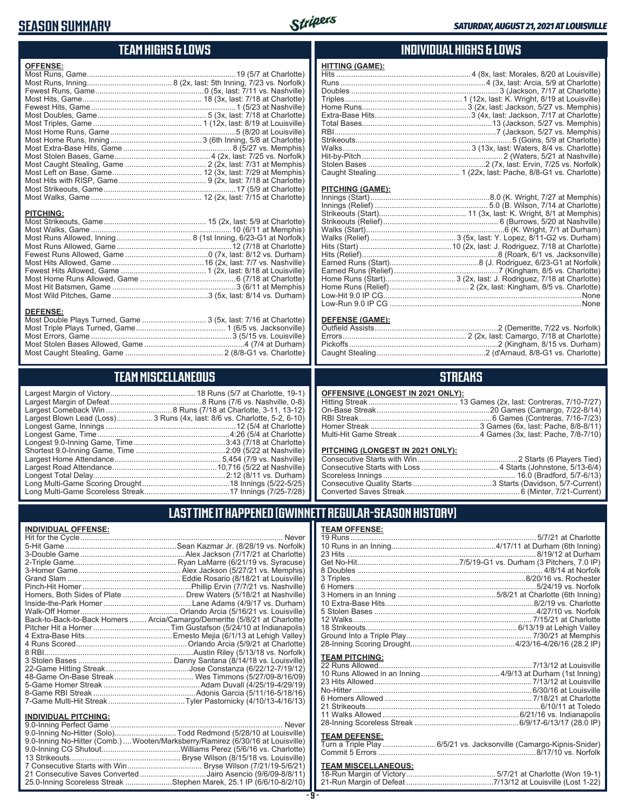### **SEASON SUMMARY**



### **TEAM HIGHS & LOWS**

| <b>OFFENSE:</b>  |  |
|------------------|--|
|                  |  |
| <b>PITCHING:</b> |  |

#### **DEFENSE:**

| Most Double Plays Turned, Game  3 (5x, last: 7/16 at Charlotte) |  |
|-----------------------------------------------------------------|--|
|                                                                 |  |
|                                                                 |  |
|                                                                 |  |
|                                                                 |  |
|                                                                 |  |

### **TEAM MISCELLANEOUS**

| Largest Blown Lead (Loss)3 Runs (4x, last: 8/6 vs. Charlotte, 5-2, 6-10) |
|--------------------------------------------------------------------------|
|                                                                          |
| Longest Game, Time……………………………………………………4:26 (5/4 at Charlotte)            |
| Longest 9.0-Inning Game, Time……………………………………3:43 (7/18 at Charlotte)      |
|                                                                          |
|                                                                          |
|                                                                          |
|                                                                          |
|                                                                          |
|                                                                          |
|                                                                          |

#### **INDIVIDUAL HIGHS & LOWS**

| <b>HITTING (GAME):</b> |  |
|------------------------|--|
|                        |  |
|                        |  |
|                        |  |
|                        |  |
|                        |  |
|                        |  |
|                        |  |
|                        |  |
|                        |  |
|                        |  |
|                        |  |
|                        |  |
|                        |  |
|                        |  |

#### **PITCHING (GAME):**

| Low-Run 9.0 IP CG …………………………………………………………………………………None |
|-------------------------------------------------------|

#### **DEFENSE (GAME):**

#### **STREAKS**

#### **OFFENSIVE (LONGEST IN 2021 ONLY):**

#### **PITCHING (LONGEST IN 2021 ONLY):**

#### **LAST TIME IT HAPPENED (GWINNETT REGULAR-SEASON HISTORY)**

#### **INDIVIDUAL OFFENSE:**

|                                                        | Homers, Both Sides of Plate  Drew Waters (5/18/21 at Nashville)            |
|--------------------------------------------------------|----------------------------------------------------------------------------|
|                                                        |                                                                            |
|                                                        |                                                                            |
|                                                        | Back-to-Back-to-Back Homers  Arcia/Camargo/Demeritte (5/8/21 at Charlotte) |
|                                                        |                                                                            |
|                                                        |                                                                            |
|                                                        |                                                                            |
|                                                        |                                                                            |
|                                                        |                                                                            |
|                                                        |                                                                            |
|                                                        |                                                                            |
|                                                        |                                                                            |
|                                                        |                                                                            |
|                                                        |                                                                            |
|                                                        |                                                                            |
| <b>INDIVIDUAL PITCHING:</b><br>0.0 Inning Porfoot Camo | Novor                                                                      |
|                                                        |                                                                            |

| 9.0-Inning No-Hitter (Solo)Todd Redmond (5/28/10 at Louisville)                 |  |
|---------------------------------------------------------------------------------|--|
| 9.0-Inning No-Hitter (Comb.)  Wooten/Marksberry/Ramirez (6/30/16 at Louisville) |  |
|                                                                                 |  |
|                                                                                 |  |
|                                                                                 |  |
| 21 Consecutive Saves Converted Jairo Asencio (9/6/09-8/8/11)                    |  |
| 25.0-Inning Scoreless Streak Stephen Marek, 25.1 IP (6/6/10-8/2/10)             |  |
|                                                                                 |  |

#### **TEAM OFFENSE:**

| <b>TEAM PITCHING:</b>                                     |                                                                                               |
|-----------------------------------------------------------|-----------------------------------------------------------------------------------------------|
|                                                           |                                                                                               |
|                                                           |                                                                                               |
|                                                           |                                                                                               |
|                                                           |                                                                                               |
|                                                           |                                                                                               |
|                                                           |                                                                                               |
|                                                           |                                                                                               |
|                                                           |                                                                                               |
| <b>TEAM DEFENSE:</b>                                      |                                                                                               |
| $T_{\text{source}} = T_{\text{model}} - T_{\text{total}}$ | $\bigcap F$ $\bigcap A$ I. He can ill $\bigcap$ and concern $\bigcup$ and $\bigcap$ $\bigcap$ |

#### Turn a Triple Play .........................6/5/21 vs. Jacksonville (Camargo-Kipnis-Snider) Commit 5 Errors ..........................................................................8/17/10 vs. Norfolk

### **TEAM MISCELLANEOUS:**<br>18-Run Margin of Victory....

| 21-Run Margin of Defeat…………………………………7/13/12 at Louisville (Lost 1-22) |
|-----------------------------------------------------------------------|